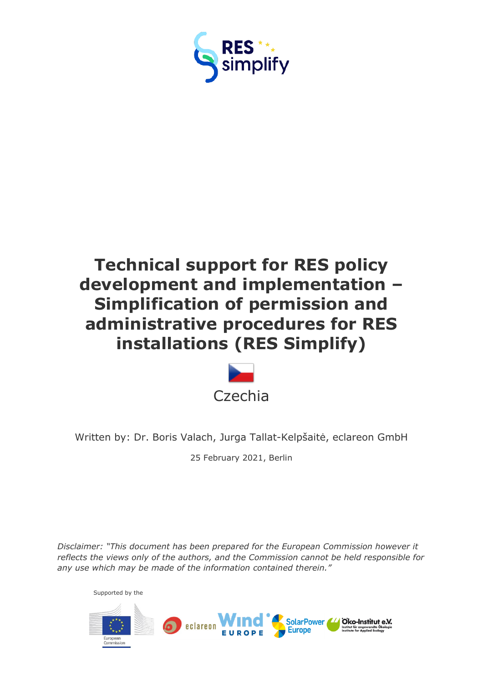

# **Technical support for RES policy development and implementation – Simplification of permission and administrative procedures for RES installations (RES Simplify)**



Written by: Dr. Boris Valach, Jurga Tallat-Kelpšaitė, eclareon GmbH

25 February 2021, Berlin

*Disclaimer: "This document has been prepared for the European Commission however it reflects the views only of the authors, and the Commission cannot be held responsible for any use which may be made of the information contained therein."*

Supported by the

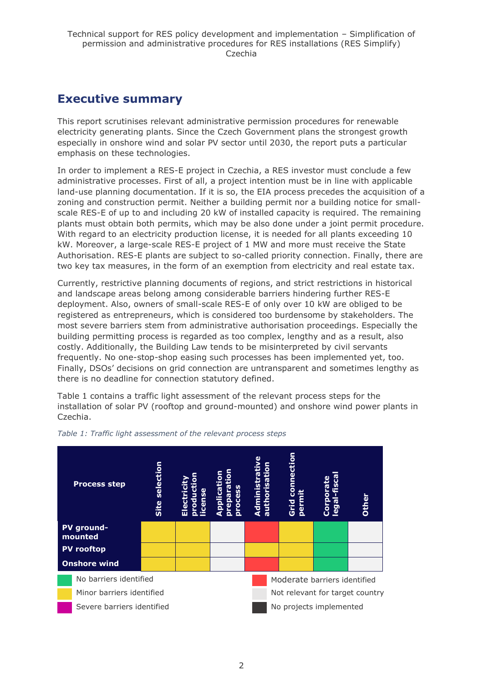### <span id="page-1-0"></span>**Executive summary**

This report scrutinises relevant administrative permission procedures for renewable electricity generating plants. Since the Czech Government plans the strongest growth especially in onshore wind and solar PV sector until 2030, the report puts a particular emphasis on these technologies.

In order to implement a RES-E project in Czechia, a RES investor must conclude a few administrative processes. First of all, a project intention must be in line with applicable land-use planning documentation. If it is so, the EIA process precedes the acquisition of a zoning and construction permit. Neither a building permit nor a building notice for smallscale RES-E of up to and including 20 kW of installed capacity is required. The remaining plants must obtain both permits, which may be also done under a joint permit procedure. With regard to an electricity production license, it is needed for all plants exceeding 10 kW. Moreover, a large-scale RES-E project of 1 MW and more must receive the State Authorisation. RES-E plants are subject to so-called priority connection. Finally, there are two key tax measures, in the form of an exemption from electricity and real estate tax.

Currently, restrictive planning documents of regions, and strict restrictions in historical and landscape areas belong among considerable barriers hindering further RES-E deployment. Also, owners of small-scale RES-E of only over 10 kW are obliged to be registered as entrepreneurs, which is considered too burdensome by stakeholders. The most severe barriers stem from administrative authorisation proceedings. Especially the building permitting process is regarded as too complex, lengthy and as a result, also costly. Additionally, the Building Law tends to be misinterpreted by civil servants frequently. No one-stop-shop easing such processes has been implemented yet, too. Finally, DSOs' decisions on grid connection are untransparent and sometimes lengthy as there is no deadline for connection statutory defined.

Table 1 contains a traffic light assessment of the relevant process steps for the installation of solar PV (rooftop and ground-mounted) and onshore wind power plants in Czechia.



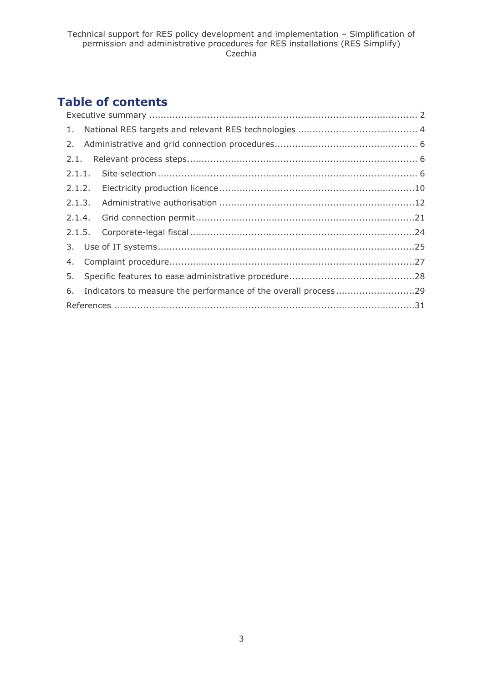# **Table of contents**

|  | 6. Indicators to measure the performance of the overall process29 |  |  |  |  |  |
|--|-------------------------------------------------------------------|--|--|--|--|--|
|  |                                                                   |  |  |  |  |  |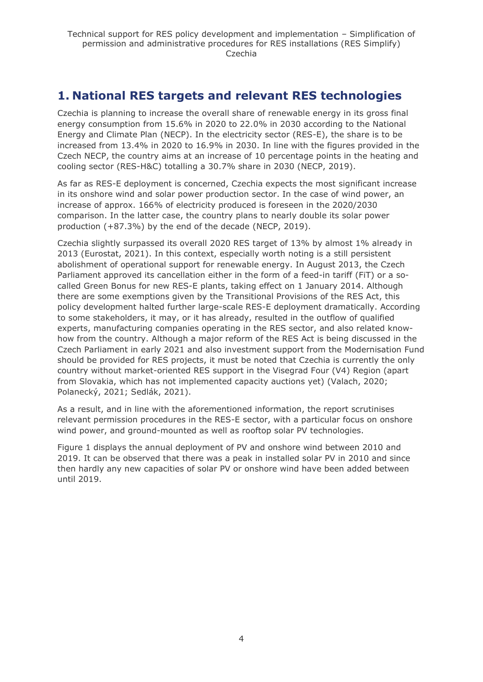## <span id="page-3-0"></span>**1. National RES targets and relevant RES technologies**

Czechia is planning to increase the overall share of renewable energy in its gross final energy consumption from 15.6% in 2020 to 22.0% in 2030 according to the National Energy and Climate Plan (NECP). In the electricity sector (RES-E), the share is to be increased from 13.4% in 2020 to 16.9% in 2030. In line with the figures provided in the Czech NECP, the country aims at an increase of 10 percentage points in the heating and cooling sector (RES-H&C) totalling a 30.7% share in 2030 (NECP, 2019).

As far as RES-E deployment is concerned, Czechia expects the most significant increase in its onshore wind and solar power production sector. In the case of wind power, an increase of approx. 166% of electricity produced is foreseen in the 2020/2030 comparison. In the latter case, the country plans to nearly double its solar power production (+87.3%) by the end of the decade (NECP, 2019).

Czechia slightly surpassed its overall 2020 RES target of 13% by almost 1% already in 2013 (Eurostat, 2021). In this context, especially worth noting is a still persistent abolishment of operational support for renewable energy. In August 2013, the Czech Parliament approved its cancellation either in the form of a feed-in tariff (FiT) or a socalled Green Bonus for new RES-E plants, taking effect on 1 January 2014. Although there are some exemptions given by the Transitional Provisions of the RES Act, this policy development halted further large-scale RES-E deployment dramatically. According to some stakeholders, it may, or it has already, resulted in the outflow of qualified experts, manufacturing companies operating in the RES sector, and also related knowhow from the country. Although a major reform of the RES Act is being discussed in the Czech Parliament in early 2021 and also investment support from the Modernisation Fund should be provided for RES projects, it must be noted that Czechia is currently the only country without market-oriented RES support in the Visegrad Four (V4) Region (apart from Slovakia, which has not implemented capacity auctions yet) (Valach, 2020; Polanecký, 2021; Sedlák, 2021).

As a result, and in line with the aforementioned information, the report scrutinises relevant permission procedures in the RES-E sector, with a particular focus on onshore wind power, and ground-mounted as well as rooftop solar PV technologies.

Figure 1 displays the annual deployment of PV and onshore wind between 2010 and 2019. It can be observed that there was a peak in installed solar PV in 2010 and since then hardly any new capacities of solar PV or onshore wind have been added between until 2019.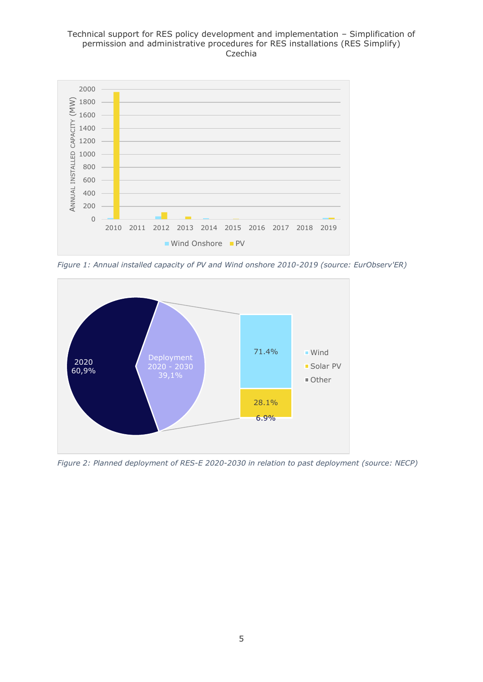#### Technical support for RES policy development and implementation – Simplification of permission and administrative procedures for RES installations (RES Simplify) Czechia



*Figure 1: Annual installed capacity of PV and Wind onshore 2010-2019 (source: EurObserv'ER)*



*Figure 2: Planned deployment of RES-E 2020-2030 in relation to past deployment (source: NECP)*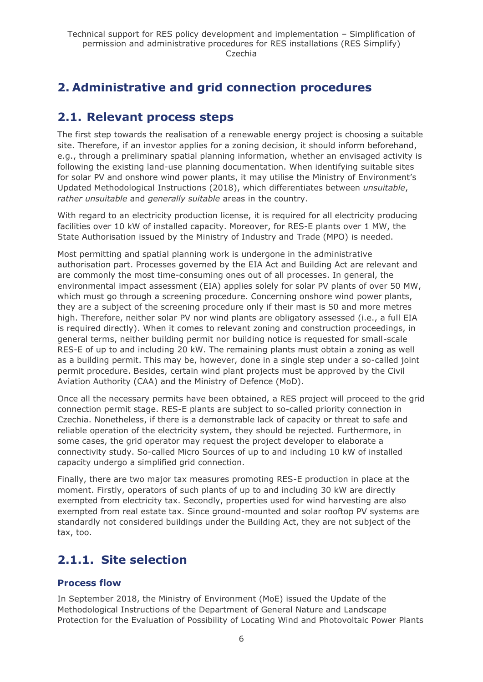# <span id="page-5-0"></span>**2. Administrative and grid connection procedures**

# <span id="page-5-1"></span>**2.1. Relevant process steps**

The first step towards the realisation of a renewable energy project is choosing a suitable site. Therefore, if an investor applies for a zoning decision, it should inform beforehand, e.g., through a preliminary spatial planning information, whether an envisaged activity is following the existing land-use planning documentation. When identifying suitable sites for solar PV and onshore wind power plants, it may utilise the Ministry of Environment's Updated Methodological Instructions (2018), which differentiates between *unsuitable*, *rather unsuitable* and *generally suitable* areas in the country.

With regard to an electricity production license, it is required for all electricity producing facilities over 10 kW of installed capacity. Moreover, for RES-E plants over 1 MW, the State Authorisation issued by the Ministry of Industry and Trade (MPO) is needed.

Most permitting and spatial planning work is undergone in the administrative authorisation part. Processes governed by the EIA Act and Building Act are relevant and are commonly the most time-consuming ones out of all processes. In general, the environmental impact assessment (EIA) applies solely for solar PV plants of over 50 MW, which must go through a screening procedure. Concerning onshore wind power plants, they are a subject of the screening procedure only if their mast is 50 and more metres high. Therefore, neither solar PV nor wind plants are obligatory assessed (i.e., a full EIA is required directly). When it comes to relevant zoning and construction proceedings, in general terms, neither building permit nor building notice is requested for small-scale RES-E of up to and including 20 kW. The remaining plants must obtain a zoning as well as a building permit. This may be, however, done in a single step under a so-called joint permit procedure. Besides, certain wind plant projects must be approved by the Civil Aviation Authority (CAA) and the Ministry of Defence (MoD).

Once all the necessary permits have been obtained, a RES project will proceed to the grid connection permit stage. RES-E plants are subject to so-called priority connection in Czechia. Nonetheless, if there is a demonstrable lack of capacity or threat to safe and reliable operation of the electricity system, they should be rejected. Furthermore, in some cases, the grid operator may request the project developer to elaborate a connectivity study. So-called Micro Sources of up to and including 10 kW of installed capacity undergo a simplified grid connection.

Finally, there are two major tax measures promoting RES-E production in place at the moment. Firstly, operators of such plants of up to and including 30 kW are directly exempted from electricity tax. Secondly, properties used for wind harvesting are also exempted from real estate tax. Since ground-mounted and solar rooftop PV systems are standardly not considered buildings under the Building Act, they are not subject of the tax, too.

### <span id="page-5-2"></span>**2.1.1. Site selection**

#### **Process flow**

In September 2018, the Ministry of Environment (MoE) issued the Update of the Methodological Instructions of the Department of General Nature and Landscape Protection for the Evaluation of Possibility of Locating Wind and Photovoltaic Power Plants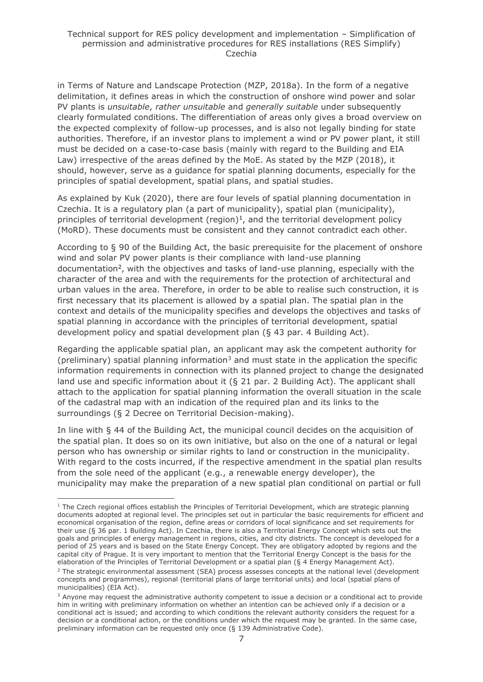in Terms of Nature and Landscape Protection (MZP, 2018a). In the form of a negative delimitation, it defines areas in which the construction of onshore wind power and solar PV plants is *unsuitable*, *rather unsuitable* and *generally suitable* under subsequently clearly formulated conditions. The differentiation of areas only gives a broad overview on the expected complexity of follow-up processes, and is also not legally binding for state authorities. Therefore, if an investor plans to implement a wind or PV power plant, it still must be decided on a case-to-case basis (mainly with regard to the Building and EIA Law) irrespective of the areas defined by the MoE. As stated by the MZP (2018), it should, however, serve as a guidance for spatial planning documents, especially for the principles of spatial development, spatial plans, and spatial studies.

As explained by Kuk (2020), there are four levels of spatial planning documentation in Czechia. It is a regulatory plan (a part of municipality), spatial plan (municipality), principles of territorial development (region) $<sup>1</sup>$ , and the territorial development policy</sup> (MoRD). These documents must be consistent and they cannot contradict each other.

According to § 90 of the Building Act, the basic prerequisite for the placement of onshore wind and solar PV power plants is their compliance with land-use planning documentation<sup>2</sup>, with the objectives and tasks of land-use planning, especially with the character of the area and with the requirements for the protection of architectural and urban values in the area. Therefore, in order to be able to realise such construction, it is first necessary that its placement is allowed by a spatial plan. The spatial plan in the context and details of the municipality specifies and develops the objectives and tasks of spatial planning in accordance with the principles of territorial development, spatial development policy and spatial development plan (§ 43 par. 4 Building Act).

Regarding the applicable spatial plan, an applicant may ask the competent authority for (preliminary) spatial planning information<sup>3</sup> and must state in the application the specific information requirements in connection with its planned project to change the designated land use and specific information about it (§ 21 par. 2 Building Act). The applicant shall attach to the application for spatial planning information the overall situation in the scale of the cadastral map with an indication of the required plan and its links to the surroundings (§ 2 Decree on Territorial Decision-making).

In line with § 44 of the Building Act, the municipal council decides on the acquisition of the spatial plan. It does so on its own initiative, but also on the one of a natural or legal person who has ownership or similar rights to land or construction in the municipality. With regard to the costs incurred, if the respective amendment in the spatial plan results from the sole need of the applicant (e.g., a renewable energy developer), the municipality may make the preparation of a new spatial plan conditional on partial or full

 $1$  The Czech regional offices establish the Principles of Territorial Development, which are strategic planning documents adopted at regional level. The principles set out in particular the basic requirements for efficient and economical organisation of the region, define areas or corridors of local significance and set requirements for their use (§ 36 par. 1 Building Act). In Czechia, there is also a Territorial Energy Concept which sets out the goals and principles of energy management in regions, cities, and city districts. The concept is developed for a period of 25 years and is based on the State Energy Concept. They are obligatory adopted by regions and the capital city of Prague. It is very important to mention that the Territorial Energy Concept is the basis for the elaboration of the Principles of Territorial Development or a spatial plan (§ 4 Energy Management Act).

<sup>&</sup>lt;sup>2</sup> The strategic environmental assessment (SEA) process assesses concepts at the national level (development concepts and programmes), regional (territorial plans of large territorial units) and local (spatial plans of municipalities) (EIA Act).

<sup>&</sup>lt;sup>3</sup> Anyone may request the administrative authority competent to issue a decision or a conditional act to provide him in writing with preliminary information on whether an intention can be achieved only if a decision or a conditional act is issued; and according to which conditions the relevant authority considers the request for a decision or a conditional action, or the conditions under which the request may be granted. In the same case, preliminary information can be requested only once (§ 139 Administrative Code).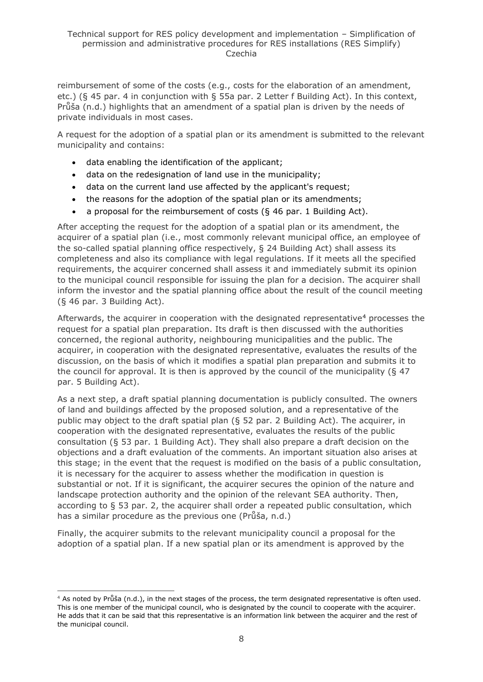reimbursement of some of the costs (e.g., costs for the elaboration of an amendment, etc.) (§ 45 par. 4 in conjunction with § 55a par. 2 Letter f Building Act). In this context, Průša (n.d.) highlights that an amendment of a spatial plan is driven by the needs of private individuals in most cases.

A request for the adoption of a spatial plan or its amendment is submitted to the relevant municipality and contains:

- data enabling the identification of the applicant;
- data on the redesignation of land use in the municipality;
- data on the current land use affected by the applicant's request;
- the reasons for the adoption of the spatial plan or its amendments;
- a proposal for the reimbursement of costs (§ 46 par. 1 Building Act).

After accepting the request for the adoption of a spatial plan or its amendment, the acquirer of a spatial plan (i.e., most commonly relevant municipal office, an employee of the so-called spatial planning office respectively, § 24 Building Act) shall assess its completeness and also its compliance with legal regulations. If it meets all the specified requirements, the acquirer concerned shall assess it and immediately submit its opinion to the municipal council responsible for issuing the plan for a decision. The acquirer shall inform the investor and the spatial planning office about the result of the council meeting (§ 46 par. 3 Building Act).

Afterwards, the acquirer in cooperation with the designated representative<sup>4</sup> processes the request for a spatial plan preparation. Its draft is then discussed with the authorities concerned, the regional authority, neighbouring municipalities and the public. The acquirer, in cooperation with the designated representative, evaluates the results of the discussion, on the basis of which it modifies a spatial plan preparation and submits it to the council for approval. It is then is approved by the council of the municipality ( $\S$  47 par. 5 Building Act).

As a next step, a draft spatial planning documentation is publicly consulted. The owners of land and buildings affected by the proposed solution, and a representative of the public may object to the draft spatial plan (§ 52 par. 2 Building Act). The acquirer, in cooperation with the designated representative, evaluates the results of the public consultation (§ 53 par. 1 Building Act). They shall also prepare a draft decision on the objections and a draft evaluation of the comments. An important situation also arises at this stage; in the event that the request is modified on the basis of a public consultation, it is necessary for the acquirer to assess whether the modification in question is substantial or not. If it is significant, the acquirer secures the opinion of the nature and landscape protection authority and the opinion of the relevant SEA authority. Then, according to § 53 par. 2, the acquirer shall order a repeated public consultation, which has a similar procedure as the previous one (Průša, n.d.)

Finally, the acquirer submits to the relevant municipality council a proposal for the adoption of a spatial plan. If a new spatial plan or its amendment is approved by the

 $4$  As noted by Průša (n.d.), in the next stages of the process, the term designated representative is often used. This is one member of the municipal council, who is designated by the council to cooperate with the acquirer. He adds that it can be said that this representative is an information link between the acquirer and the rest of the municipal council.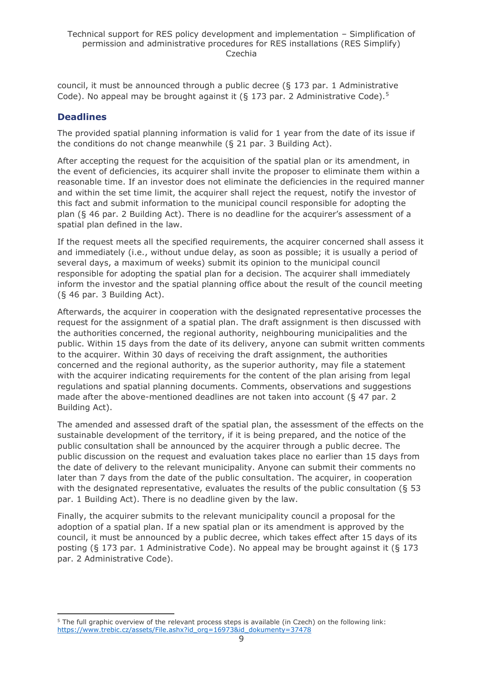council, it must be announced through a public decree (§ 173 par. 1 Administrative Code). No appeal may be brought against it (§ 173 par. 2 Administrative Code).<sup>5</sup>

### **Deadlines**

The provided spatial planning information is valid for 1 year from the date of its issue if the conditions do not change meanwhile (§ 21 par. 3 Building Act).

After accepting the request for the acquisition of the spatial plan or its amendment, in the event of deficiencies, its acquirer shall invite the proposer to eliminate them within a reasonable time. If an investor does not eliminate the deficiencies in the required manner and within the set time limit, the acquirer shall reject the request, notify the investor of this fact and submit information to the municipal council responsible for adopting the plan (§ 46 par. 2 Building Act). There is no deadline for the acquirer's assessment of a spatial plan defined in the law.

If the request meets all the specified requirements, the acquirer concerned shall assess it and immediately (i.e., without undue delay, as soon as possible; it is usually a period of several days, a maximum of weeks) submit its opinion to the municipal council responsible for adopting the spatial plan for a decision. The acquirer shall immediately inform the investor and the spatial planning office about the result of the council meeting (§ 46 par. 3 Building Act).

Afterwards, the acquirer in cooperation with the designated representative processes the request for the assignment of a spatial plan. The draft assignment is then discussed with the authorities concerned, the regional authority, neighbouring municipalities and the public. Within 15 days from the date of its delivery, anyone can submit written comments to the acquirer. Within 30 days of receiving the draft assignment, the authorities concerned and the regional authority, as the superior authority, may file a statement with the acquirer indicating requirements for the content of the plan arising from legal regulations and spatial planning documents. Comments, observations and suggestions made after the above-mentioned deadlines are not taken into account ( $\S$  47 par. 2) Building Act).

The amended and assessed draft of the spatial plan, the assessment of the effects on the sustainable development of the territory, if it is being prepared, and the notice of the public consultation shall be announced by the acquirer through a public decree. The public discussion on the request and evaluation takes place no earlier than 15 days from the date of delivery to the relevant municipality. Anyone can submit their comments no later than 7 days from the date of the public consultation. The acquirer, in cooperation with the designated representative, evaluates the results of the public consultation ( $\S$  53 par. 1 Building Act). There is no deadline given by the law.

Finally, the acquirer submits to the relevant municipality council a proposal for the adoption of a spatial plan. If a new spatial plan or its amendment is approved by the council, it must be announced by a public decree, which takes effect after 15 days of its posting (§ 173 par. 1 Administrative Code). No appeal may be brought against it (§ 173 par. 2 Administrative Code).

<sup>&</sup>lt;sup>5</sup> The full graphic overview of the relevant process steps is available (in Czech) on the following link: [https://www.trebic.cz/assets/File.ashx?id\\_org=16973&id\\_dokumenty=37478](https://www.trebic.cz/assets/File.ashx?id_org=16973&id_dokumenty=37478)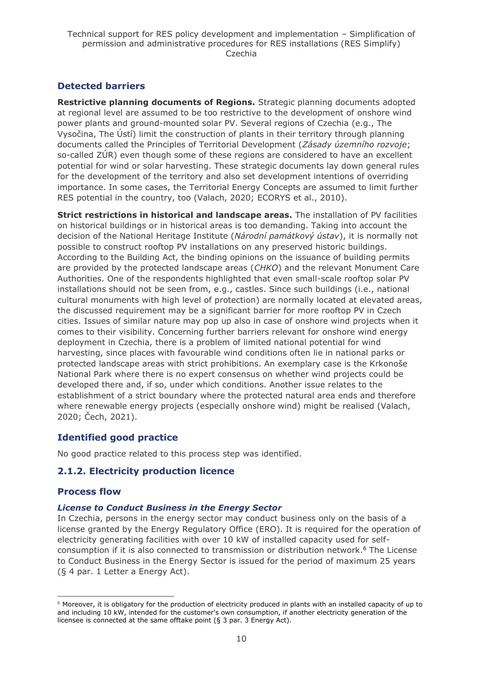### **Detected barriers**

**Restrictive planning documents of Regions.** Strategic planning documents adopted at regional level are assumed to be too restrictive to the development of onshore wind power plants and ground-mounted solar PV. Several regions of Czechia (e.g., The Vysočina, The Ústí) limit the construction of plants in their territory through planning documents called the Principles of Territorial Development (*Zásady územního rozvoje*; so-called ZÚR) even though some of these regions are considered to have an excellent potential for wind or solar harvesting. These strategic documents lay down general rules for the development of the territory and also set development intentions of overriding importance. In some cases, the Territorial Energy Concepts are assumed to limit further RES potential in the country, too (Valach, 2020; ECORYS et al., 2010).

**Strict restrictions in historical and landscape areas.** The installation of PV facilities on historical buildings or in historical areas is too demanding. Taking into account the decision of the National Heritage Institute (*Národní památkový ústav*), it is normally not possible to construct rooftop PV installations on any preserved historic buildings. According to the Building Act, the binding opinions on the issuance of building permits are provided by the protected landscape areas (*CHKO*) and the relevant Monument Care Authorities. One of the respondents highlighted that even small-scale rooftop solar PV installations should not be seen from, e.g., castles. Since such buildings (i.e., national cultural monuments with high level of protection) are normally located at elevated areas, the discussed requirement may be a significant barrier for more rooftop PV in Czech cities. Issues of similar nature may pop up also in case of onshore wind projects when it comes to their visibility. Concerning further barriers relevant for onshore wind energy deployment in Czechia, there is a problem of limited national potential for wind harvesting, since places with favourable wind conditions often lie in national parks or protected landscape areas with strict prohibitions. An exemplary case is the Krkonoše National Park where there is no expert consensus on whether wind projects could be developed there and, if so, under which conditions. Another issue relates to the establishment of a strict boundary where the protected natural area ends and therefore where renewable energy projects (especially onshore wind) might be realised (Valach, 2020; Čech, 2021).

#### **Identified good practice**

No good practice related to this process step was identified.

#### <span id="page-9-0"></span>**2.1.2. Electricity production licence**

#### **Process flow**

#### *License to Conduct Business in the Energy Sector*

In Czechia, persons in the energy sector may conduct business only on the basis of a license granted by the Energy Regulatory Office (ERO). It is required for the operation of electricity generating facilities with over 10 kW of installed capacity used for selfconsumption if it is also connected to transmission or distribution network.<sup>6</sup> The License to Conduct Business in the Energy Sector is issued for the period of maximum 25 years (§ 4 par. 1 Letter a Energy Act).

 $6$  Moreover, it is obligatory for the production of electricity produced in plants with an installed capacity of up to and including 10 kW, intended for the customer's own consumption, if another electricity generation of the licensee is connected at the same offtake point (§ 3 par. 3 Energy Act).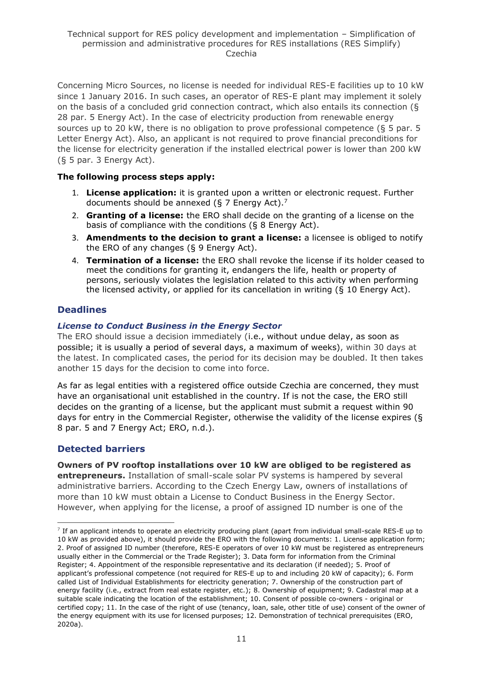Concerning Micro Sources, no license is needed for individual RES-E facilities up to 10 kW since 1 January 2016. In such cases, an operator of RES-E plant may implement it solely on the basis of a concluded grid connection contract, which also entails its connection (§ 28 par. 5 Energy Act). In the case of electricity production from renewable energy sources up to 20 kW, there is no obligation to prove professional competence (§ 5 par. 5 Letter Energy Act). Also, an applicant is not required to prove financial preconditions for the license for electricity generation if the installed electrical power is lower than 200 kW (§ 5 par. 3 Energy Act).

#### **The following process steps apply:**

- 1. **License application:** it is granted upon a written or electronic request. Further documents should be annexed (§ 7 Energy Act).<sup>7</sup>
- 2. **Granting of a license:** the ERO shall decide on the granting of a license on the basis of compliance with the conditions (§ 8 Energy Act).
- 3. **Amendments to the decision to grant a license:** a licensee is obliged to notify the ERO of any changes (§ 9 Energy Act).
- 4. **Termination of a license:** the ERO shall revoke the license if its holder ceased to meet the conditions for granting it, endangers the life, health or property of persons, seriously violates the legislation related to this activity when performing the licensed activity, or applied for its cancellation in writing (§ 10 Energy Act).

#### **Deadlines**

#### *License to Conduct Business in the Energy Sector*

The ERO should issue a decision immediately (i.e., without undue delay, as soon as possible; it is usually a period of several days, a maximum of weeks), within 30 days at the latest. In complicated cases, the period for its decision may be doubled. It then takes another 15 days for the decision to come into force.

As far as legal entities with a registered office outside Czechia are concerned, they must have an organisational unit established in the country. If is not the case, the ERO still decides on the granting of a license, but the applicant must submit a request within 90 days for entry in the Commercial Register, otherwise the validity of the license expires (§ 8 par. 5 and 7 Energy Act; ERO, n.d.).

#### **Detected barriers**

**Owners of PV rooftop installations over 10 kW are obliged to be registered as entrepreneurs.** Installation of small-scale solar PV systems is hampered by several administrative barriers. According to the Czech Energy Law, owners of installations of more than 10 kW must obtain a License to Conduct Business in the Energy Sector. However, when applying for the license, a proof of assigned ID number is one of the

<sup>&</sup>lt;sup>7</sup> If an applicant intends to operate an electricity producing plant (apart from individual small-scale RES-E up to 10 kW as provided above), it should provide the ERO with the following documents: 1. License application form; 2. Proof of assigned ID number (therefore, RES-E operators of over 10 kW must be registered as entrepreneurs usually either in the Commercial or the Trade Register); 3. Data form for information from the Criminal Register; 4. Appointment of the responsible representative and its declaration (if needed); 5. Proof of applicant's professional competence (not required for RES-E up to and including 20 kW of capacity); 6. Form called List of Individual Establishments for electricity generation; 7. Ownership of the construction part of energy facility (i.e., extract from real estate register, etc.); 8. Ownership of equipment; 9. Cadastral map at a suitable scale indicating the location of the establishment; 10. Consent of possible co-owners - original or certified copy; 11. In the case of the right of use (tenancy, loan, sale, other title of use) consent of the owner of the energy equipment with its use for licensed purposes; 12. Demonstration of technical prerequisites (ERO, 2020a).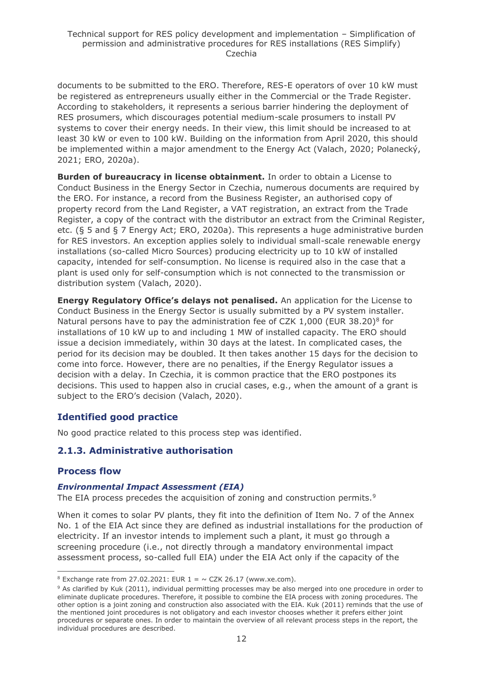documents to be submitted to the ERO. Therefore, RES-E operators of over 10 kW must be registered as entrepreneurs usually either in the Commercial or the Trade Register. According to stakeholders, it represents a serious barrier hindering the deployment of RES prosumers, which discourages potential medium-scale prosumers to install PV systems to cover their energy needs. In their view, this limit should be increased to at least 30 kW or even to 100 kW. Building on the information from April 2020, this should be implemented within a major amendment to the Energy Act (Valach, 2020; Polanecký, 2021; ERO, 2020a).

**Burden of bureaucracy in license obtainment.** In order to obtain a License to Conduct Business in the Energy Sector in Czechia, numerous documents are required by the ERO. For instance, a record from the Business Register, an authorised copy of property record from the Land Register, a VAT registration, an extract from the Trade Register, a copy of the contract with the distributor an extract from the Criminal Register, etc. (§ 5 and § 7 Energy Act; ERO, 2020a). This represents a huge administrative burden for RES investors. An exception applies solely to individual small-scale renewable energy installations (so-called Micro Sources) producing electricity up to 10 kW of installed capacity, intended for self-consumption. No license is required also in the case that a plant is used only for self-consumption which is not connected to the transmission or distribution system (Valach, 2020).

**Energy Regulatory Office's delays not penalised.** An application for the License to Conduct Business in the Energy Sector is usually submitted by a PV system installer. Natural persons have to pay the administration fee of CZK 1,000 (EUR 38.20)<sup>8</sup> for installations of 10 kW up to and including 1 MW of installed capacity. The ERO should issue a decision immediately, within 30 days at the latest. In complicated cases, the period for its decision may be doubled. It then takes another 15 days for the decision to come into force. However, there are no penalties, if the Energy Regulator issues a decision with a delay. In Czechia, it is common practice that the ERO postpones its decisions. This used to happen also in crucial cases, e.g., when the amount of a grant is subject to the ERO's decision (Valach, 2020).

#### **Identified good practice**

No good practice related to this process step was identified.

#### <span id="page-11-0"></span>**2.1.3. Administrative authorisation**

#### **Process flow**

#### *Environmental Impact Assessment (EIA)*

The EIA process precedes the acquisition of zoning and construction permits.<sup>9</sup>

When it comes to solar PV plants, they fit into the definition of Item No. 7 of the Annex No. 1 of the EIA Act since they are defined as industrial installations for the production of electricity. If an investor intends to implement such a plant, it must go through a screening procedure (i.e., not directly through a mandatory environmental impact assessment process, so-called full EIA) under the EIA Act only if the capacity of the

<sup>&</sup>lt;sup>8</sup> Exchange rate from 27.02.2021: EUR  $1 = \sim$  CZK 26.17 (www.xe.com).

<sup>9</sup> As clarified by Kuk (2011), individual permitting processes may be also merged into one procedure in order to eliminate duplicate procedures. Therefore, it possible to combine the EIA process with zoning procedures. The other option is a joint zoning and construction also associated with the EIA. Kuk (2011) reminds that the use of the mentioned joint procedures is not obligatory and each investor chooses whether it prefers either joint procedures or separate ones. In order to maintain the overview of all relevant process steps in the report, the individual procedures are described.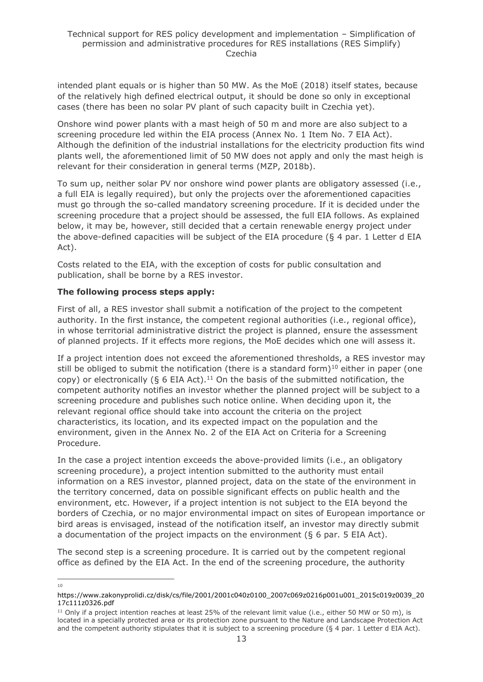intended plant equals or is higher than 50 MW. As the MoE (2018) itself states, because of the relatively high defined electrical output, it should be done so only in exceptional cases (there has been no solar PV plant of such capacity built in Czechia yet).

Onshore wind power plants with a mast heigh of 50 m and more are also subject to a screening procedure led within the EIA process (Annex No. 1 Item No. 7 EIA Act). Although the definition of the industrial installations for the electricity production fits wind plants well, the aforementioned limit of 50 MW does not apply and only the mast heigh is relevant for their consideration in general terms (MZP, 2018b).

To sum up, neither solar PV nor onshore wind power plants are obligatory assessed (i.e., a full EIA is legally required), but only the projects over the aforementioned capacities must go through the so-called mandatory screening procedure. If it is decided under the screening procedure that a project should be assessed, the full EIA follows. As explained below, it may be, however, still decided that a certain renewable energy project under the above-defined capacities will be subject of the EIA procedure (§ 4 par. 1 Letter d EIA Act).

Costs related to the EIA, with the exception of costs for public consultation and publication, shall be borne by a RES investor.

#### **The following process steps apply:**

First of all, a RES investor shall submit a notification of the project to the competent authority. In the first instance, the competent regional authorities (i.e., regional office), in whose territorial administrative district the project is planned, ensure the assessment of planned projects. If it effects more regions, the MoE decides which one will assess it.

If a project intention does not exceed the aforementioned thresholds, a RES investor may still be obliged to submit the notification (there is a standard form)<sup>10</sup> either in paper (one copy) or electronically ( $\S 6$  EIA Act).<sup>11</sup> On the basis of the submitted notification, the competent authority notifies an investor whether the planned project will be subject to a screening procedure and publishes such notice online. When deciding upon it, the relevant regional office should take into account the criteria on the project characteristics, its location, and its expected impact on the population and the environment, given in the Annex No. 2 of the EIA Act on Criteria for a Screening Procedure.

In the case a project intention exceeds the above-provided limits (i.e., an obligatory screening procedure), a project intention submitted to the authority must entail information on a RES investor, planned project, data on the state of the environment in the territory concerned, data on possible significant effects on public health and the environment, etc. However, if a project intention is not subject to the EIA beyond the borders of Czechia, or no major environmental impact on sites of European importance or bird areas is envisaged, instead of the notification itself, an investor may directly submit a documentation of the project impacts on the environment (§ 6 par. 5 EIA Act).

The second step is a screening procedure. It is carried out by the competent regional office as defined by the EIA Act. In the end of the screening procedure, the authority

10

[https://www.zakonyprolidi.cz/disk/cs/file/2001/2001c040z0100\\_2007c069z0216p001u001\\_2015c019z0039\\_20](https://www.zakonyprolidi.cz/disk/cs/file/2001/2001c040z0100_2007c069z0216p001u001_2015c019z0039_2017c111z0326.pdf) [17c111z0326.pdf](https://www.zakonyprolidi.cz/disk/cs/file/2001/2001c040z0100_2007c069z0216p001u001_2015c019z0039_2017c111z0326.pdf)

 $11$  Only if a project intention reaches at least 25% of the relevant limit value (i.e., either 50 MW or 50 m), is located in a specially protected area or its protection zone pursuant to the Nature and Landscape Protection Act and the competent authority stipulates that it is subject to a screening procedure (§ 4 par. 1 Letter d EIA Act).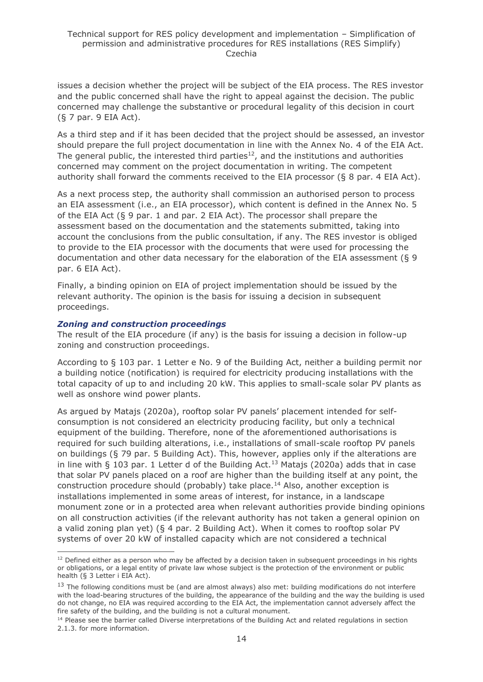issues a decision whether the project will be subject of the EIA process. The RES investor and the public concerned shall have the right to appeal against the decision. The public concerned may challenge the substantive or procedural legality of this decision in court (§ 7 par. 9 EIA Act).

As a third step and if it has been decided that the project should be assessed, an investor should prepare the full project documentation in line with the Annex No. 4 of the EIA Act. The general public, the interested third parties<sup>12</sup>, and the institutions and authorities concerned may comment on the project documentation in writing. The competent authority shall forward the comments received to the EIA processor (§ 8 par. 4 EIA Act).

As a next process step, the authority shall commission an authorised person to process an EIA assessment (i.e., an EIA processor), which content is defined in the Annex No. 5 of the EIA Act (§ 9 par. 1 and par. 2 EIA Act). The processor shall prepare the assessment based on the documentation and the statements submitted, taking into account the conclusions from the public consultation, if any. The RES investor is obliged to provide to the EIA processor with the documents that were used for processing the documentation and other data necessary for the elaboration of the EIA assessment (§ 9 par. 6 EIA Act).

Finally, a binding opinion on EIA of project implementation should be issued by the relevant authority. The opinion is the basis for issuing a decision in subsequent proceedings.

#### *Zoning and construction proceedings*

The result of the EIA procedure (if any) is the basis for issuing a decision in follow-up zoning and construction proceedings.

According to § 103 par. 1 Letter e No. 9 of the Building Act, neither a building permit nor a building notice (notification) is required for electricity producing installations with the total capacity of up to and including 20 kW. This applies to small-scale solar PV plants as well as onshore wind power plants.

As argued by Matajs (2020a), rooftop solar PV panels' placement intended for selfconsumption is not considered an electricity producing facility, but only a technical equipment of the building. Therefore, none of the aforementioned authorisations is required for such building alterations, i.e., installations of small-scale rooftop PV panels on buildings (§ 79 par. 5 Building Act). This, however, applies only if the alterations are in line with  $\S$  103 par. 1 Letter d of the Building Act.<sup>13</sup> Matajs (2020a) adds that in case that solar PV panels placed on a roof are higher than the building itself at any point, the construction procedure should (probably) take place.<sup>14</sup> Also, another exception is installations implemented in some areas of interest, for instance, in a landscape monument zone or in a protected area when relevant authorities provide binding opinions on all construction activities (if the relevant authority has not taken a general opinion on a valid zoning plan yet) (§ 4 par. 2 Building Act). When it comes to rooftop solar PV systems of over 20 kW of installed capacity which are not considered a technical

 $12$  Defined either as a person who may be affected by a decision taken in subsequent proceedings in his rights or obligations, or a legal entity of private law whose subject is the protection of the environment or public health (§ 3 Letter i EIA Act).

<sup>&</sup>lt;sup>13</sup> The following conditions must be (and are almost always) also met: building modifications do not interfere with the load-bearing structures of the building, the appearance of the building and the way the building is used do not change, no EIA was required according to the EIA Act, the implementation cannot adversely affect the fire safety of the building, and the building is not a cultural monument.

<sup>&</sup>lt;sup>14</sup> Please see the barrier called Diverse interpretations of the Building Act and related regulations in section 2.1.3. for more information.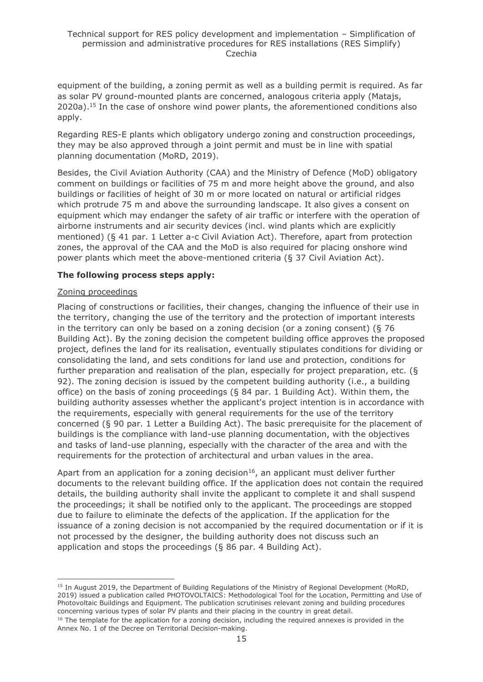equipment of the building, a zoning permit as well as a building permit is required. As far as solar PV ground-mounted plants are concerned, analogous criteria apply (Matajs,  $2020a$ ).<sup>15</sup> In the case of onshore wind power plants, the aforementioned conditions also apply.

Regarding RES-E plants which obligatory undergo zoning and construction proceedings, they may be also approved through a joint permit and must be in line with spatial planning documentation (MoRD, 2019).

Besides, the Civil Aviation Authority (CAA) and the Ministry of Defence (MoD) obligatory comment on buildings or facilities of 75 m and more height above the ground, and also buildings or facilities of height of 30 m or more located on natural or artificial ridges which protrude 75 m and above the surrounding landscape. It also gives a consent on equipment which may endanger the safety of air traffic or interfere with the operation of airborne instruments and air security devices (incl. wind plants which are explicitly mentioned) (§ 41 par. 1 Letter a-c Civil Aviation Act). Therefore, apart from protection zones, the approval of the CAA and the MoD is also required for placing onshore wind power plants which meet the above-mentioned criteria (§ 37 Civil Aviation Act).

#### **The following process steps apply:**

#### Zoning proceedings

Placing of constructions or facilities, their changes, changing the influence of their use in the territory, changing the use of the territory and the protection of important interests in the territory can only be based on a zoning decision (or a zoning consent) (§ 76 Building Act). By the zoning decision the competent building office approves the proposed project, defines the land for its realisation, eventually stipulates conditions for dividing or consolidating the land, and sets conditions for land use and protection, conditions for further preparation and realisation of the plan, especially for project preparation, etc. (§ 92). The zoning decision is issued by the competent building authority (i.e., a building office) on the basis of zoning proceedings (§ 84 par. 1 Building Act). Within them, the building authority assesses whether the applicant's project intention is in accordance with the requirements, especially with general requirements for the use of the territory concerned (§ 90 par. 1 Letter a Building Act). The basic prerequisite for the placement of buildings is the compliance with land-use planning documentation, with the objectives and tasks of land-use planning, especially with the character of the area and with the requirements for the protection of architectural and urban values in the area.

Apart from an application for a zoning decision<sup>16</sup>, an applicant must deliver further documents to the relevant building office. If the application does not contain the required details, the building authority shall invite the applicant to complete it and shall suspend the proceedings; it shall be notified only to the applicant. The proceedings are stopped due to failure to eliminate the defects of the application. If the application for the issuance of a zoning decision is not accompanied by the required documentation or if it is not processed by the designer, the building authority does not discuss such an application and stops the proceedings (§ 86 par. 4 Building Act).

<sup>&</sup>lt;sup>15</sup> In August 2019, the Department of Building Regulations of the Ministry of Regional Development (MoRD, 2019) issued a publication called PHOTOVOLTAICS: Methodological Tool for the Location, Permitting and Use of Photovoltaic Buildings and Equipment. The publication scrutinises relevant zoning and building procedures concerning various types of solar PV plants and their placing in the country in great detail.

<sup>&</sup>lt;sup>16</sup> The template for the application for a zoning decision, including the required annexes is provided in the Annex No. 1 of the Decree on Territorial Decision-making.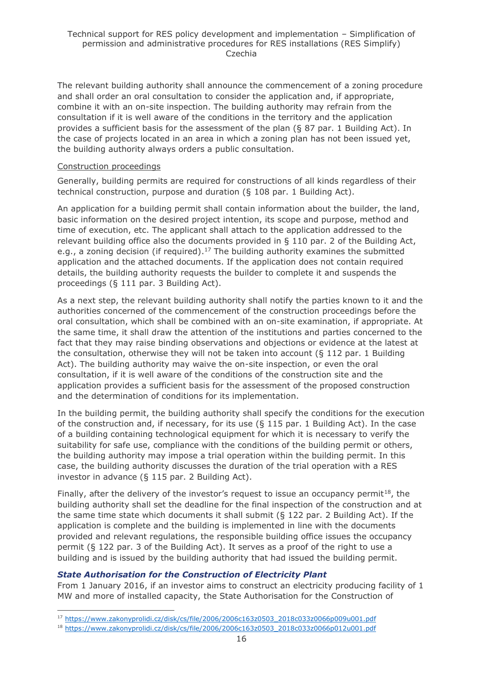The relevant building authority shall announce the commencement of a zoning procedure and shall order an oral consultation to consider the application and, if appropriate, combine it with an on-site inspection. The building authority may refrain from the consultation if it is well aware of the conditions in the territory and the application provides a sufficient basis for the assessment of the plan (§ 87 par. 1 Building Act). In the case of projects located in an area in which a zoning plan has not been issued yet, the building authority always orders a public consultation.

#### Construction proceedings

Generally, building permits are required for constructions of all kinds regardless of their technical construction, purpose and duration (§ 108 par. 1 Building Act).

An application for a building permit shall contain information about the builder, the land, basic information on the desired project intention, its scope and purpose, method and time of execution, etc. The applicant shall attach to the application addressed to the relevant building office also the documents provided in § 110 par. 2 of the Building Act, e.g., a zoning decision (if required).<sup>17</sup> The building authority examines the submitted application and the attached documents. If the application does not contain required details, the building authority requests the builder to complete it and suspends the proceedings (§ 111 par. 3 Building Act).

As a next step, the relevant building authority shall notify the parties known to it and the authorities concerned of the commencement of the construction proceedings before the oral consultation, which shall be combined with an on-site examination, if appropriate. At the same time, it shall draw the attention of the institutions and parties concerned to the fact that they may raise binding observations and objections or evidence at the latest at the consultation, otherwise they will not be taken into account ( $\S$  112 par. 1 Building Act). The building authority may waive the on-site inspection, or even the oral consultation, if it is well aware of the conditions of the construction site and the application provides a sufficient basis for the assessment of the proposed construction and the determination of conditions for its implementation.

In the building permit, the building authority shall specify the conditions for the execution of the construction and, if necessary, for its use (§ 115 par. 1 Building Act). In the case of a building containing technological equipment for which it is necessary to verify the suitability for safe use, compliance with the conditions of the building permit or others, the building authority may impose a trial operation within the building permit. In this case, the building authority discusses the duration of the trial operation with a RES investor in advance (§ 115 par. 2 Building Act).

Finally, after the delivery of the investor's request to issue an occupancy permit<sup>18</sup>, the building authority shall set the deadline for the final inspection of the construction and at the same time state which documents it shall submit (§ 122 par. 2 Building Act). If the application is complete and the building is implemented in line with the documents provided and relevant regulations, the responsible building office issues the occupancy permit (§ 122 par. 3 of the Building Act). It serves as a proof of the right to use a building and is issued by the building authority that had issued the building permit.

#### *State Authorisation for the Construction of Electricity Plant*

From 1 January 2016, if an investor aims to construct an electricity producing facility of 1 MW and more of installed capacity, the State Authorisation for the Construction of

<sup>17</sup> [https://www.zakonyprolidi.cz/disk/cs/file/2006/2006c163z0503\\_2018c033z0066p009u001.pdf](https://www.zakonyprolidi.cz/disk/cs/file/2006/2006c163z0503_2018c033z0066p009u001.pdf)

<sup>18</sup> [https://www.zakonyprolidi.cz/disk/cs/file/2006/2006c163z0503\\_2018c033z0066p012u001.pdf](https://www.zakonyprolidi.cz/disk/cs/file/2006/2006c163z0503_2018c033z0066p012u001.pdf)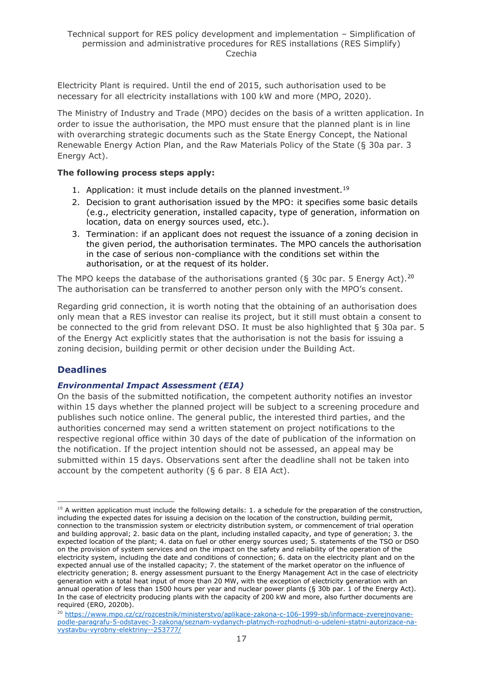Electricity Plant is required. Until the end of 2015, such authorisation used to be necessary for all electricity installations with 100 kW and more (MPO, 2020).

The Ministry of Industry and Trade (MPO) decides on the basis of a written application. In order to issue the authorisation, the MPO must ensure that the planned plant is in line with overarching strategic documents such as the State Energy Concept, the National Renewable Energy Action Plan, and the Raw Materials Policy of the State (§ 30a par. 3 Energy Act).

#### **The following process steps apply:**

- 1. Application: it must include details on the planned investment.<sup>19</sup>
- 2. Decision to grant authorisation issued by the MPO: it specifies some basic details (e.g., electricity generation, installed capacity, type of generation, information on location, data on energy sources used, etc.).
- 3. Termination: if an applicant does not request the issuance of a zoning decision in the given period, the authorisation terminates. The MPO cancels the authorisation in the case of serious non-compliance with the conditions set within the authorisation, or at the request of its holder.

The MPO keeps the database of the authorisations granted ( $\S$  30c par. 5 Energy Act).<sup>20</sup> The authorisation can be transferred to another person only with the MPO's consent.

Regarding grid connection, it is worth noting that the obtaining of an authorisation does only mean that a RES investor can realise its project, but it still must obtain a consent to be connected to the grid from relevant DSO. It must be also highlighted that § 30a par. 5 of the Energy Act explicitly states that the authorisation is not the basis for issuing a zoning decision, building permit or other decision under the Building Act.

### **Deadlines**

#### *Environmental Impact Assessment (EIA)*

On the basis of the submitted notification, the competent authority notifies an investor within 15 days whether the planned project will be subject to a screening procedure and publishes such notice online. The general public, the interested third parties, and the authorities concerned may send a written statement on project notifications to the respective regional office within 30 days of the date of publication of the information on the notification. If the project intention should not be assessed, an appeal may be submitted within 15 days. Observations sent after the deadline shall not be taken into account by the competent authority (§ 6 par. 8 EIA Act).

 $19$  A written application must include the following details: 1. a schedule for the preparation of the construction, including the expected dates for issuing a decision on the location of the construction, building permit, connection to the transmission system or electricity distribution system, or commencement of trial operation and building approval; 2. basic data on the plant, including installed capacity, and type of generation; 3. the expected location of the plant; 4. data on fuel or other energy sources used; 5. statements of the TSO or DSO on the provision of system services and on the impact on the safety and reliability of the operation of the electricity system, including the date and conditions of connection; 6. data on the electricity plant and on the expected annual use of the installed capacity; 7. the statement of the market operator on the influence of electricity generation; 8. energy assessment pursuant to the Energy Management Act in the case of electricity generation with a total heat input of more than 20 MW, with the exception of electricity generation with an annual operation of less than 1500 hours per year and nuclear power plants (§ 30b par. 1 of the Energy Act). In the case of electricity producing plants with the capacity of 200 kW and more, also further documents are required (ERO, 2020b).

<sup>20</sup> [https://www.mpo.cz/cz/rozcestnik/ministerstvo/aplikace-zakona-c-106-1999-sb/informace-zverejnovane](https://www.mpo.cz/cz/rozcestnik/ministerstvo/aplikace-zakona-c-106-1999-sb/informace-zverejnovane-podle-paragrafu-5-odstavec-3-zakona/seznam-vydanych-platnych-rozhodnuti-o-udeleni-statni-autorizace-na-vystavbu-vyrobny-elektriny--253777/)[podle-paragrafu-5-odstavec-3-zakona/seznam-vydanych-platnych-rozhodnuti-o-udeleni-statni-autorizace-na](https://www.mpo.cz/cz/rozcestnik/ministerstvo/aplikace-zakona-c-106-1999-sb/informace-zverejnovane-podle-paragrafu-5-odstavec-3-zakona/seznam-vydanych-platnych-rozhodnuti-o-udeleni-statni-autorizace-na-vystavbu-vyrobny-elektriny--253777/)[vystavbu-vyrobny-elektriny--253777/](https://www.mpo.cz/cz/rozcestnik/ministerstvo/aplikace-zakona-c-106-1999-sb/informace-zverejnovane-podle-paragrafu-5-odstavec-3-zakona/seznam-vydanych-platnych-rozhodnuti-o-udeleni-statni-autorizace-na-vystavbu-vyrobny-elektriny--253777/)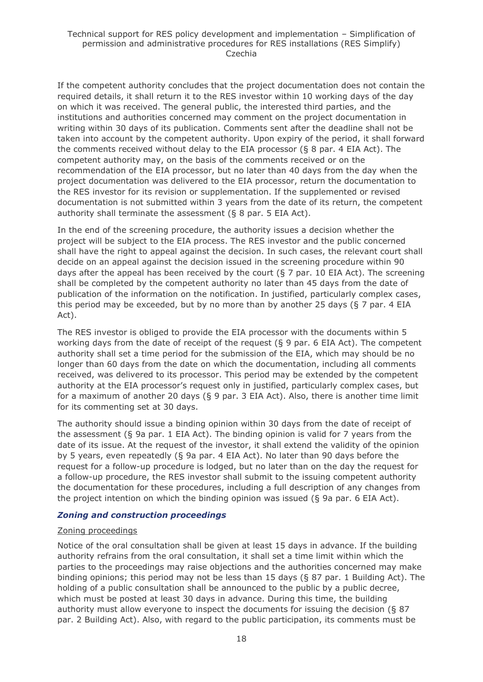If the competent authority concludes that the project documentation does not contain the required details, it shall return it to the RES investor within 10 working days of the day on which it was received. The general public, the interested third parties, and the institutions and authorities concerned may comment on the project documentation in writing within 30 days of its publication. Comments sent after the deadline shall not be taken into account by the competent authority. Upon expiry of the period, it shall forward the comments received without delay to the EIA processor (§ 8 par. 4 EIA Act). The competent authority may, on the basis of the comments received or on the recommendation of the EIA processor, but no later than 40 days from the day when the project documentation was delivered to the EIA processor, return the documentation to the RES investor for its revision or supplementation. If the supplemented or revised documentation is not submitted within 3 years from the date of its return, the competent authority shall terminate the assessment (§ 8 par. 5 EIA Act).

In the end of the screening procedure, the authority issues a decision whether the project will be subject to the EIA process. The RES investor and the public concerned shall have the right to appeal against the decision. In such cases, the relevant court shall decide on an appeal against the decision issued in the screening procedure within 90 days after the appeal has been received by the court ( $\S 7$  par. 10 EIA Act). The screening shall be completed by the competent authority no later than 45 days from the date of publication of the information on the notification. In justified, particularly complex cases, this period may be exceeded, but by no more than by another 25 days (§ 7 par. 4 EIA Act).

The RES investor is obliged to provide the EIA processor with the documents within 5 working days from the date of receipt of the request  $(8, 9, 9)$  par. 6 EIA Act). The competent authority shall set a time period for the submission of the EIA, which may should be no longer than 60 days from the date on which the documentation, including all comments received, was delivered to its processor. This period may be extended by the competent authority at the EIA processor's request only in justified, particularly complex cases, but for a maximum of another 20 days (§ 9 par. 3 EIA Act). Also, there is another time limit for its commenting set at 30 days.

The authority should issue a binding opinion within 30 days from the date of receipt of the assessment (§ 9a par. 1 EIA Act). The binding opinion is valid for 7 years from the date of its issue. At the request of the investor, it shall extend the validity of the opinion by 5 years, even repeatedly (§ 9a par. 4 EIA Act). No later than 90 days before the request for a follow-up procedure is lodged, but no later than on the day the request for a follow-up procedure, the RES investor shall submit to the issuing competent authority the documentation for these procedures, including a full description of any changes from the project intention on which the binding opinion was issued (§ 9a par. 6 EIA Act).

#### *Zoning and construction proceedings*

#### Zoning proceedings

Notice of the oral consultation shall be given at least 15 days in advance. If the building authority refrains from the oral consultation, it shall set a time limit within which the parties to the proceedings may raise objections and the authorities concerned may make binding opinions; this period may not be less than 15 days (§ 87 par. 1 Building Act). The holding of a public consultation shall be announced to the public by a public decree, which must be posted at least 30 days in advance. During this time, the building authority must allow everyone to inspect the documents for issuing the decision (§ 87 par. 2 Building Act). Also, with regard to the public participation, its comments must be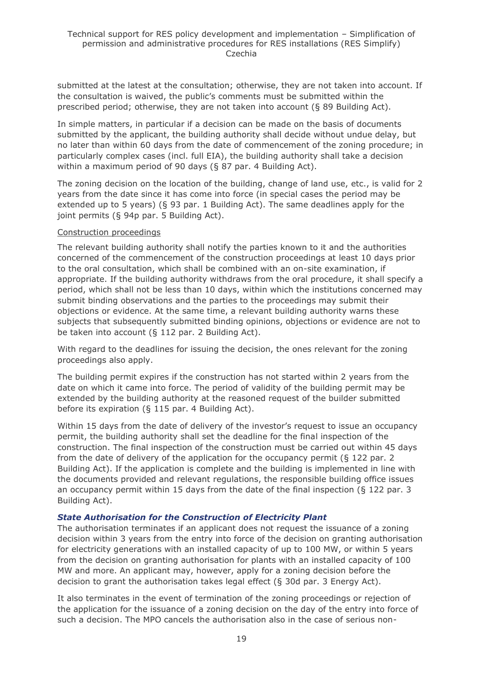submitted at the latest at the consultation; otherwise, they are not taken into account. If the consultation is waived, the public's comments must be submitted within the prescribed period; otherwise, they are not taken into account (§ 89 Building Act).

In simple matters, in particular if a decision can be made on the basis of documents submitted by the applicant, the building authority shall decide without undue delay, but no later than within 60 days from the date of commencement of the zoning procedure; in particularly complex cases (incl. full EIA), the building authority shall take a decision within a maximum period of 90 days (§ 87 par. 4 Building Act).

The zoning decision on the location of the building, change of land use, etc., is valid for 2 years from the date since it has come into force (in special cases the period may be extended up to 5 years) (§ 93 par. 1 Building Act). The same deadlines apply for the joint permits (§ 94p par. 5 Building Act).

#### Construction proceedings

The relevant building authority shall notify the parties known to it and the authorities concerned of the commencement of the construction proceedings at least 10 days prior to the oral consultation, which shall be combined with an on-site examination, if appropriate. If the building authority withdraws from the oral procedure, it shall specify a period, which shall not be less than 10 days, within which the institutions concerned may submit binding observations and the parties to the proceedings may submit their objections or evidence. At the same time, a relevant building authority warns these subjects that subsequently submitted binding opinions, objections or evidence are not to be taken into account (§ 112 par. 2 Building Act).

With regard to the deadlines for issuing the decision, the ones relevant for the zoning proceedings also apply.

The building permit expires if the construction has not started within 2 years from the date on which it came into force. The period of validity of the building permit may be extended by the building authority at the reasoned request of the builder submitted before its expiration (§ 115 par. 4 Building Act).

Within 15 days from the date of delivery of the investor's request to issue an occupancy permit, the building authority shall set the deadline for the final inspection of the construction. The final inspection of the construction must be carried out within 45 days from the date of delivery of the application for the occupancy permit (§ 122 par. 2 Building Act). If the application is complete and the building is implemented in line with the documents provided and relevant regulations, the responsible building office issues an occupancy permit within 15 days from the date of the final inspection (§ 122 par. 3 Building Act).

#### *State Authorisation for the Construction of Electricity Plant*

The authorisation terminates if an applicant does not request the issuance of a zoning decision within 3 years from the entry into force of the decision on granting authorisation for electricity generations with an installed capacity of up to 100 MW, or within 5 years from the decision on granting authorisation for plants with an installed capacity of 100 MW and more. An applicant may, however, apply for a zoning decision before the decision to grant the authorisation takes legal effect (§ 30d par. 3 Energy Act).

It also terminates in the event of termination of the zoning proceedings or rejection of the application for the issuance of a zoning decision on the day of the entry into force of such a decision. The MPO cancels the authorisation also in the case of serious non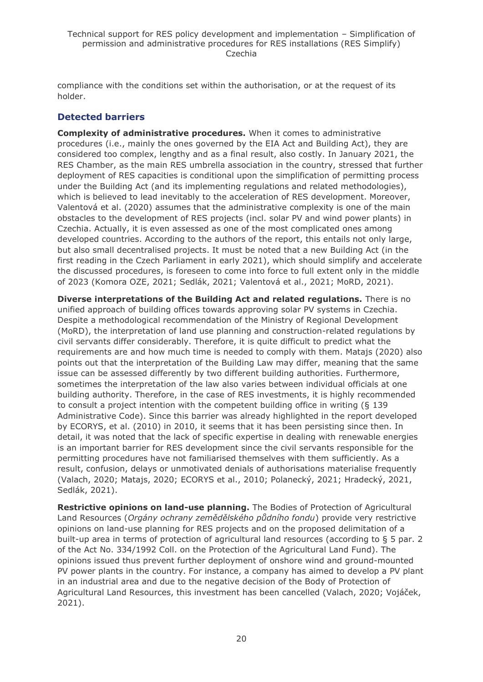compliance with the conditions set within the authorisation, or at the request of its holder.

### **Detected barriers**

**Complexity of administrative procedures.** When it comes to administrative procedures (i.e., mainly the ones governed by the EIA Act and Building Act), they are considered too complex, lengthy and as a final result, also costly. In January 2021, the RES Chamber, as the main RES umbrella association in the country, stressed that further deployment of RES capacities is conditional upon the simplification of permitting process under the Building Act (and its implementing regulations and related methodologies), which is believed to lead inevitably to the acceleration of RES development. Moreover, Valentová et al. (2020) assumes that the administrative complexity is one of the main obstacles to the development of RES projects (incl. solar PV and wind power plants) in Czechia. Actually, it is even assessed as one of the most complicated ones among developed countries. According to the authors of the report, this entails not only large, but also small decentralised projects. It must be noted that a new Building Act (in the first reading in the Czech Parliament in early 2021), which should simplify and accelerate the discussed procedures, is foreseen to come into force to full extent only in the middle of 2023 (Komora OZE, 2021; Sedlák, 2021; Valentová et al., 2021; MoRD, 2021).

**Diverse interpretations of the Building Act and related regulations.** There is no unified approach of building offices towards approving solar PV systems in Czechia. Despite a methodological recommendation of the Ministry of Regional Development (MoRD), the interpretation of land use planning and construction-related regulations by civil servants differ considerably. Therefore, it is quite difficult to predict what the requirements are and how much time is needed to comply with them. Matajs (2020) also points out that the interpretation of the Building Law may differ, meaning that the same issue can be assessed differently by two different building authorities. Furthermore, sometimes the interpretation of the law also varies between individual officials at one building authority. Therefore, in the case of RES investments, it is highly recommended to consult a project intention with the competent building office in writing (§ 139 Administrative Code). Since this barrier was already highlighted in the report developed by ECORYS, et al. (2010) in 2010, it seems that it has been persisting since then. In detail, it was noted that the lack of specific expertise in dealing with renewable energies is an important barrier for RES development since the civil servants responsible for the permitting procedures have not familiarised themselves with them sufficiently. As a result, confusion, delays or unmotivated denials of authorisations materialise frequently (Valach, 2020; Matajs, 2020; ECORYS et al., 2010; Polanecký, 2021; Hradecký, 2021, Sedlák, 2021).

**Restrictive opinions on land-use planning.** The Bodies of Protection of Agricultural Land Resources (*Orgány ochrany zemědělského půdního fondu*) provide very restrictive opinions on land-use planning for RES projects and on the proposed delimitation of a built-up area in terms of protection of agricultural land resources (according to § 5 par. 2 of the Act No. 334/1992 Coll. on the Protection of the Agricultural Land Fund). The opinions issued thus prevent further deployment of onshore wind and ground-mounted PV power plants in the country. For instance, a company has aimed to develop a PV plant in an industrial area and due to the negative decision of the Body of Protection of Agricultural Land Resources, this investment has been cancelled (Valach, 2020; Vojáček, 2021).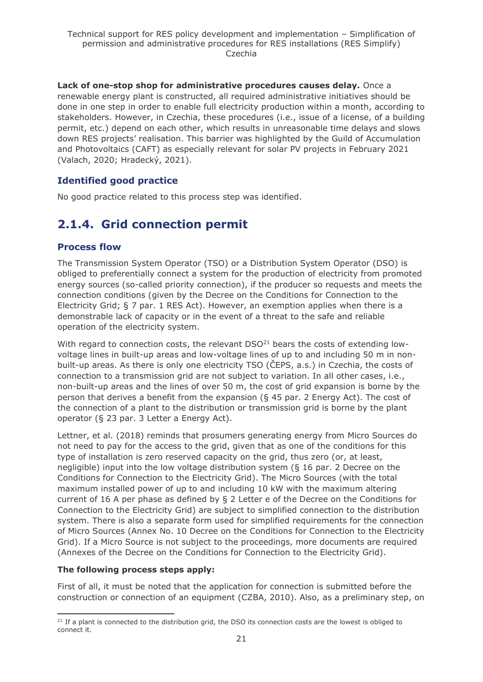**Lack of one-stop shop for administrative procedures causes delay.** Once a renewable energy plant is constructed, all required administrative initiatives should be done in one step in order to enable full electricity production within a month, according to stakeholders. However, in Czechia, these procedures (i.e., issue of a license, of a building permit, etc.) depend on each other, which results in unreasonable time delays and slows down RES projects' realisation. This barrier was highlighted by the Guild of Accumulation and Photovoltaics (CAFT) as especially relevant for solar PV projects in February 2021 (Valach, 2020; Hradecký, 2021).

### **Identified good practice**

No good practice related to this process step was identified.

# <span id="page-20-0"></span>**2.1.4. Grid connection permit**

#### **Process flow**

The Transmission System Operator (TSO) or a Distribution System Operator (DSO) is obliged to preferentially connect a system for the production of electricity from promoted energy sources (so-called priority connection), if the producer so requests and meets the connection conditions (given by the Decree on the Conditions for Connection to the Electricity Grid; § 7 par. 1 RES Act). However, an exemption applies when there is a demonstrable lack of capacity or in the event of a threat to the safe and reliable operation of the electricity system.

With regard to connection costs, the relevant  $DSO<sup>21</sup>$  bears the costs of extending lowvoltage lines in built-up areas and low-voltage lines of up to and including 50 m in nonbuilt-up areas. As there is only one electricity [TSO](http://res-legal.de/en/glossary.html?tx_sbakronymmanager_pi1%5Bpseudo%5D=true#sbakronymmanager115) (ČEPS, a.s.) in Czechia, the costs of connection to a transmission grid are not subject to variation. In all other cases, i.e., non-built-up areas and the lines of over 50 m, the cost of grid expansion is borne by the person that derives a benefit from the expansion (§ 45 par. 2 Energy Act). The cost of the connection of a plant to the distribution or transmission grid is borne by the plant operator (§ 23 par. 3 Letter a Energy Act).

Lettner, et al. (2018) reminds that prosumers generating energy from Micro Sources do not need to pay for the access to the grid, given that as one of the conditions for this type of installation is zero reserved capacity on the grid, thus zero (or, at least, negligible) input into the low voltage distribution system (§ 16 par. 2 Decree on the Conditions for Connection to the Electricity Grid). The Micro Sources (with the total maximum installed power of up to and including 10 kW with the maximum altering current of 16 A per phase as defined by § 2 Letter e of the Decree on the Conditions for Connection to the Electricity Grid) are subject to simplified connection to the distribution system. There is also a separate form used for simplified requirements for the connection of Micro Sources (Annex No. 10 Decree on the Conditions for Connection to the Electricity Grid). If a Micro Source is not subject to the proceedings, more documents are required (Annexes of the Decree on the Conditions for Connection to the Electricity Grid).

#### **The following process steps apply:**

First of all, it must be noted that the application for connection is submitted before the construction or connection of an equipment (CZBA, 2010). Also, as a preliminary step, on

 $21$  If a plant is connected to the distribution grid, the [DSO](http://res-legal.de/en/glossary.html?tx_sbakronymmanager_pi1%5Bpseudo%5D=true#sbakronymmanager117) its connection costs are the lowest is obliged to connect it.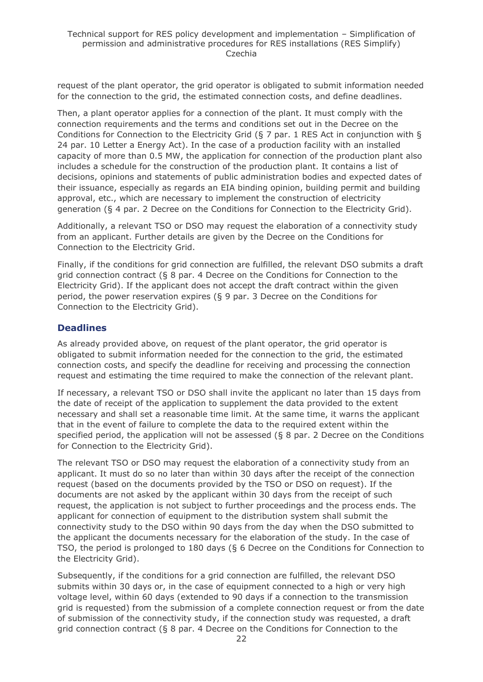request of the plant operator, the grid operator is obligated to submit information needed for the connection to the grid, the estimated connection costs, and define deadlines.

Then, a plant operator applies for a connection of the plant. It must comply with the connection requirements and the terms and conditions set out in the Decree on the Conditions for Connection to the Electricity Grid (§ 7 par. 1 RES Act in conjunction with § 24 par. 10 Letter a Energy Act). In the case of a production facility with an installed capacity of more than 0.5 MW, the application for connection of the production plant also includes a schedule for the construction of the production plant. It contains a list of decisions, opinions and statements of public administration bodies and expected dates of their issuance, especially as regards an EIA binding opinion, building permit and building approval, etc., which are necessary to implement the construction of electricity generation (§ 4 par. 2 Decree on the Conditions for Connection to the Electricity Grid).

Additionally, a relevant TSO or DSO may request the elaboration of a connectivity study from an applicant. Further details are given by the Decree on the Conditions for Connection to the Electricity Grid.

Finally, if the conditions for grid connection are fulfilled, the relevant DSO submits a draft grid connection contract (§ 8 par. 4 Decree on the Conditions for Connection to the Electricity Grid). If the applicant does not accept the draft contract within the given period, the power reservation expires (§ 9 par. 3 Decree on the Conditions for Connection to the Electricity Grid).

#### **Deadlines**

As already provided above, on request of the plant operator, the grid operator is obligated to submit information needed for the connection to the grid, the estimated connection costs, and specify the deadline for receiving and processing the connection request and estimating the time required to make the connection of the relevant plant.

If necessary, a relevant TSO or DSO shall invite the applicant no later than 15 days from the date of receipt of the application to supplement the data provided to the extent necessary and shall set a reasonable time limit. At the same time, it warns the applicant that in the event of failure to complete the data to the required extent within the specified period, the application will not be assessed (§ 8 par. 2 Decree on the Conditions for Connection to the Electricity Grid).

The relevant TSO or DSO may request the elaboration of a connectivity study from an applicant. It must do so no later than within 30 days after the receipt of the connection request (based on the documents provided by the TSO or DSO on request). If the documents are not asked by the applicant within 30 days from the receipt of such request, the application is not subject to further proceedings and the process ends. The applicant for connection of equipment to the distribution system shall submit the connectivity study to the DSO within 90 days from the day when the DSO submitted to the applicant the documents necessary for the elaboration of the study. In the case of TSO, the period is prolonged to 180 days (§ 6 Decree on the Conditions for Connection to the Electricity Grid).

Subsequently, if the conditions for a grid connection are fulfilled, the relevant DSO submits within 30 days or, in the case of equipment connected to a high or very high voltage level, within 60 days (extended to 90 days if a connection to the transmission grid is requested) from the submission of a complete connection request or from the date of submission of the connectivity study, if the connection study was requested, a draft grid connection contract (§ 8 par. 4 Decree on the Conditions for Connection to the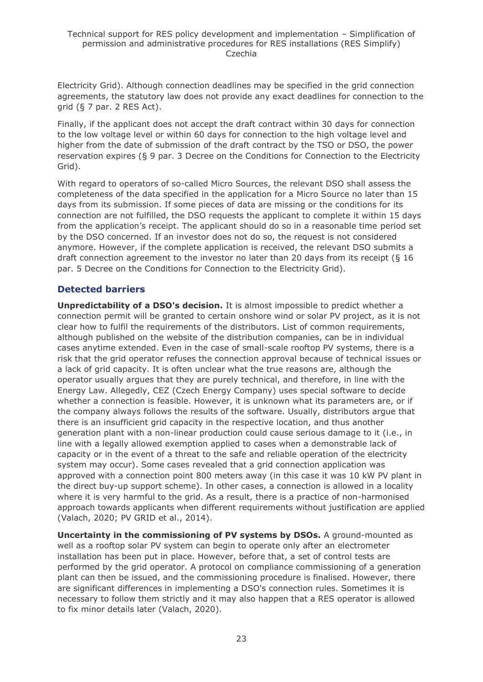Electricity Grid). Although connection deadlines may be specified in the grid connection agreements, the statutory law does not provide any exact deadlines for connection to the grid (§ 7 par. 2 RES Act).

Finally, if the applicant does not accept the draft contract within 30 days for connection to the low voltage level or within 60 days for connection to the high voltage level and higher from the date of submission of the draft contract by the TSO or DSO, the power reservation expires (§ 9 par. 3 Decree on the Conditions for Connection to the Electricity Grid).

With regard to operators of so-called Micro Sources, the relevant DSO shall assess the completeness of the data specified in the application for a Micro Source no later than 15 days from its submission. If some pieces of data are missing or the conditions for its connection are not fulfilled, the DSO requests the applicant to complete it within 15 days from the application's receipt. The applicant should do so in a reasonable time period set by the DSO concerned. If an investor does not do so, the request is not considered anymore. However, if the complete application is received, the relevant DSO submits a draft connection agreement to the investor no later than 20 days from its receipt (§ 16 par. 5 Decree on the Conditions for Connection to the Electricity Grid).

### **Detected barriers**

**Unpredictability of a DSO's decision.** It is almost impossible to predict whether a connection permit will be granted to certain onshore wind or solar PV project, as it is not clear how to fulfil the requirements of the distributors. List of common requirements, although published on the website of the distribution companies, can be in individual cases anytime extended. Even in the case of small-scale rooftop PV systems, there is a risk that the grid operator refuses the connection approval because of technical issues or a lack of grid capacity. It is often unclear what the true reasons are, although the operator usually argues that they are purely technical, and therefore, in line with the Energy Law. Allegedly, CEZ (Czech Energy Company) uses special software to decide whether a connection is feasible. However, it is unknown what its parameters are, or if the company always follows the results of the software. Usually, distributors argue that there is an insufficient grid capacity in the respective location, and thus another generation plant with a non-linear production could cause serious damage to it (i.e., in line with a legally allowed exemption applied to cases when a demonstrable lack of capacity or in the event of a threat to the safe and reliable operation of the electricity system may occur). Some cases revealed that a grid connection application was approved with a connection point 800 meters away (in this case it was 10 kW PV plant in the direct buy-up support scheme). In other cases, a connection is allowed in a locality where it is very harmful to the grid. As a result, there is a practice of non-harmonised approach towards applicants when different requirements without justification are applied (Valach, 2020; PV GRID et al., 2014).

**Uncertainty in the commissioning of PV systems by DSOs.** A ground-mounted as well as a rooftop solar PV system can begin to operate only after an electrometer installation has been put in place. However, before that, a set of control tests are performed by the grid operator. A protocol on compliance commissioning of a generation plant can then be issued, and the commissioning procedure is finalised. However, there are significant differences in implementing a DSO's connection rules. Sometimes it is necessary to follow them strictly and it may also happen that a RES operator is allowed to fix minor details later (Valach, 2020).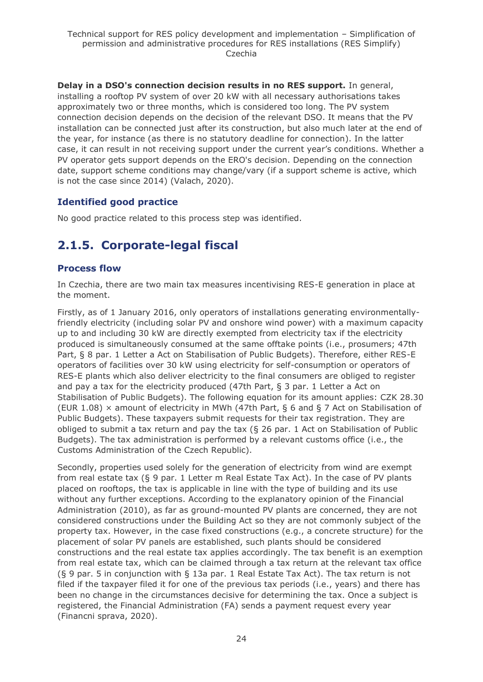**Delay in a DSO's connection decision results in no RES support.** In general, installing a rooftop PV system of over 20 kW with all necessary authorisations takes approximately two or three months, which is considered too long. The PV system connection decision depends on the decision of the relevant DSO. It means that the PV installation can be connected just after its construction, but also much later at the end of the year, for instance (as there is no statutory deadline for connection). In the latter case, it can result in not receiving support under the current year's conditions. Whether a PV operator gets support depends on the ERO's decision. Depending on the connection date, support scheme conditions may change/vary (if a support scheme is active, which is not the case since 2014) (Valach, 2020).

### **Identified good practice**

No good practice related to this process step was identified.

# <span id="page-23-0"></span>**2.1.5. Corporate-legal fiscal**

### **Process flow**

In Czechia, there are two main tax measures incentivising RES-E generation in place at the moment.

Firstly, as of 1 January 2016, only operators of installations generating environmentallyfriendly electricity (including solar PV and onshore wind power) with a maximum capacity up to and including 30 kW are directly exempted from electricity tax if the electricity produced is simultaneously consumed at the same offtake points (i.e., prosumers; 47th Part, § 8 par. 1 Letter a Act on Stabilisation of Public Budgets). Therefore, either RES-E operators of facilities over 30 kW using electricity for self-consumption or operators of RES-E plants which also deliver electricity to the final consumers are obliged to register and pay a tax for the electricity produced (47th Part, § 3 par. 1 Letter a Act on Stabilisation of Public Budgets). The following equation for its amount applies: CZK 28.30 (EUR 1.08)  $\times$  amount of electricity in MWh (47th Part, § 6 and § 7 Act on Stabilisation of Public Budgets). These taxpayers submit requests for their tax registration. They are obliged to submit a tax return and pay the tax (§ 26 par. 1 Act on Stabilisation of Public Budgets). The tax administration is performed by a relevant customs office (i.e., the Customs Administration of the Czech Republic).

Secondly, properties used solely for the generation of electricity from wind are exempt from real estate tax (§ 9 par. 1 Letter m Real Estate Tax Act). In the case of PV plants placed on rooftops, the tax is applicable in line with the type of building and its use without any further exceptions. According to the explanatory opinion of the Financial Administration (2010), as far as ground-mounted PV plants are concerned, they are not considered constructions under the Building Act so they are not commonly subject of the property tax. However, in the case fixed constructions (e.g., a concrete structure) for the placement of solar PV panels are established, such plants should be considered constructions and the real estate tax applies accordingly. The tax benefit is an exemption from real estate tax, which can be claimed through a tax return at the relevant tax office (§ 9 par. 5 in conjunction with § 13a par. 1 Real Estate Tax Act). The tax return is not filed if the taxpayer filed it for one of the previous tax periods (i.e., years) and there has been no change in the circumstances decisive for determining the tax. Once a subject is registered, the Financial Administration (FA) sends a payment request every year (Financni sprava, 2020).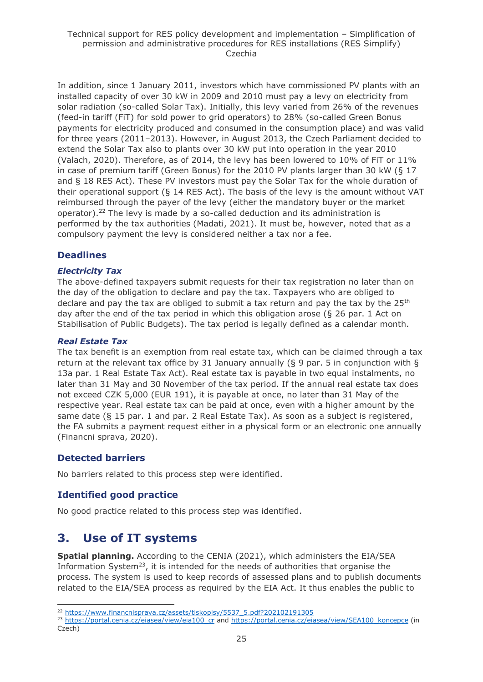#### Technical support for RES policy development and implementation – Simplification of permission and administrative procedures for RES installations (RES Simplify) Czechia

In addition, since 1 January 2011, investors which have commissioned PV plants with an installed capacity of over 30 kW in 2009 and 2010 must pay a levy on electricity from solar radiation (so-called Solar Tax). Initially, this levy varied from 26% of the revenues (feed-in tariff (FiT) for sold power to grid operators) to 28% (so-called Green Bonus payments for electricity produced and consumed in the consumption place) and was valid for three years (2011–2013). However, in August 2013, the Czech Parliament decided to extend the Solar Tax also to plants over 30 kW put into operation in the year 2010 (Valach, 2020). Therefore, as of 2014, the levy has been lowered to 10% of FiT or 11% in case of premium tariff (Green Bonus) for the 2010 PV plants larger than 30 kW (§ 17 and § 18 RES Act). These PV investors must pay the Solar Tax for the whole duration of their operational support (§ 14 RES Act). The basis of the levy is the amount without VAT reimbursed through the payer of the levy (either the mandatory buyer or the market operator).<sup>22</sup> The levy is made by a so-called deduction and its administration is performed by the tax authorities (Madati, 2021). It must be, however, noted that as a compulsory payment the levy is considered neither a tax nor a fee.

#### **Deadlines**

#### *Electricity Tax*

The above-defined taxpayers submit requests for their tax registration no later than on the day of the obligation to declare and pay the tax. Taxpayers who are obliged to declare and pay the tax are obliged to submit a tax return and pay the tax by the  $25<sup>th</sup>$ day after the end of the tax period in which this obligation arose (§ 26 par. 1 Act on Stabilisation of Public Budgets). The tax period is legally defined as a calendar month.

#### *Real Estate Tax*

The tax benefit is an exemption from real estate tax, which can be claimed through a tax return at the relevant tax office by 31 January annually (§ 9 par. 5 in conjunction with § 13a par. 1 Real Estate Tax Act). Real estate tax is payable in two equal instalments, no later than 31 May and 30 November of the tax period. If the annual real estate tax does not exceed CZK 5,000 (EUR 191), it is payable at once, no later than 31 May of the respective year. Real estate tax can be paid at once, even with a higher amount by the same date (§ 15 par. 1 and par. 2 Real Estate Tax). As soon as a subject is registered, the FA submits a payment request either in a physical form or an electronic one annually (Financni sprava, 2020).

#### **Detected barriers**

No barriers related to this process step were identified.

#### **Identified good practice**

No good practice related to this process step was identified.

### <span id="page-24-0"></span>**3. Use of IT systems**

**Spatial planning.** According to the CENIA (2021), which administers the EIA/SEA Information System<sup>23</sup>, it is intended for the needs of authorities that organise the process. The system is used to keep records of assessed plans and to publish documents related to the EIA/SEA process as required by the EIA Act. It thus enables the public to

<sup>&</sup>lt;sup>22</sup> [https://www.financnisprava.cz/assets/tiskopisy/5537\\_5.pdf?202102191305](https://www.financnisprava.cz/assets/tiskopisy/5537_5.pdf?202102191305)

<sup>&</sup>lt;sup>23</sup> [https://portal.cenia.cz/eiasea/view/eia100\\_cr](https://portal.cenia.cz/eiasea/view/eia100_cr) and [https://portal.cenia.cz/eiasea/view/SEA100\\_koncepce](https://portal.cenia.cz/eiasea/view/SEA100_koncepce) (in Czech)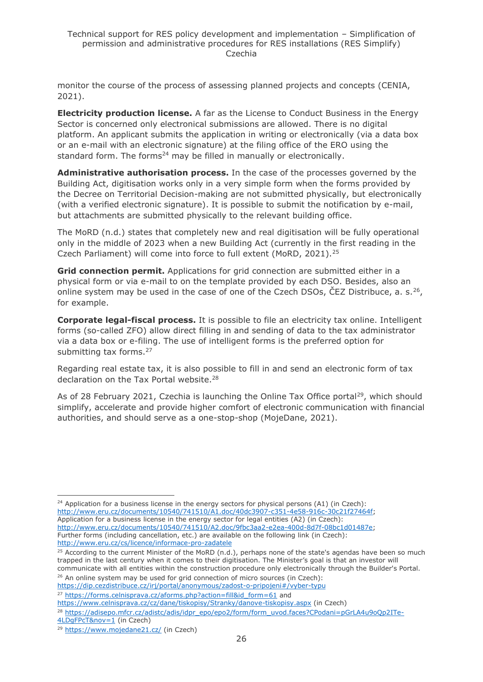monitor the course of the process of assessing planned projects and concepts (CENIA, 2021).

**Electricity production license.** A far as the License to Conduct Business in the Energy Sector is concerned only electronical submissions are allowed. There is no digital platform. An applicant submits the application in writing or electronically (via a data box or an e-mail with an electronic signature) at the filing office of the ERO using the standard form. The forms<sup>24</sup> may be filled in manually or electronically.

**Administrative authorisation process.** In the case of the processes governed by the Building Act, digitisation works only in a very simple form when the forms provided by the Decree on Territorial Decision-making are not submitted physically, but electronically (with a verified electronic signature). It is possible to submit the notification by e-mail, but attachments are submitted physically to the relevant building office.

The MoRD (n.d.) states that completely new and real digitisation will be fully operational only in the middle of 2023 when a new Building Act (currently in the first reading in the Czech Parliament) will come into force to full extent (MoRD, 2021).<sup>25</sup>

**Grid connection permit.** Applications for grid connection are submitted either in a physical form or via e-mail to on the template provided by each DSO. Besides, also an online system may be used in the case of one of the Czech DSOs, CEZ Distribuce, a. s.  $^{26}$ , for example.

**Corporate legal-fiscal process.** It is possible to file an electricity tax online. Intelligent forms (so-called ZFO) allow direct filling in and sending of data to the tax administrator via a data box or e-filing. The use of intelligent forms is the preferred option for submitting tax forms.<sup>27</sup>

Regarding real estate tax, it is also possible to fill in and send an electronic form of tax declaration on the Tax Portal website.<sup>28</sup>

As of 28 February 2021, Czechia is launching the Online Tax Office portal<sup>29</sup>, which should simplify, accelerate and provide higher comfort of electronic communication with financial authorities, and should serve as a one-stop-shop (MojeDane, 2021).

 $24$  Application for a business license in the energy sectors for physical persons (A1) (in Czech): [http://www.eru.cz/documents/10540/741510/A1.doc/40dc3907-c351-4e58-916c-30c21f27464f;](http://www.eru.cz/documents/10540/741510/A1.doc/40dc3907-c351-4e58-916c-30c21f27464f) Application for a business license in the energy sector for legal entities (A2) (in Czech): [http://www.eru.cz/documents/10540/741510/A2.doc/9fbc3aa2-e2ea-400d-8d7f-08bc1d01487e;](http://www.eru.cz/documents/10540/741510/A2.doc/9fbc3aa2-e2ea-400d-8d7f-08bc1d01487e) Further forms (including cancellation, etc.) are available on the following link (in Czech): <http://www.eru.cz/cs/licence/informace-pro-zadatele>

 $26$  An online system may be used for grid connection of micro sources (in Czech):

[https://dip.cezdistribuce.cz/irj/portal/anonymous/zadost-o-pripojeni#/vyber-typu](https://dip.cezdistribuce.cz/irj/portal/anonymous/zadost-o-pripojeni%23/vyber-typu) <sup>27</sup> [https://forms.celnisprava.cz/aforms.php?action=fill&id\\_form=61](https://forms.celnisprava.cz/aforms.php?action=fill&id_form=61%20) and

<sup>&</sup>lt;sup>25</sup> According to the current Minister of the MoRD (n.d.), perhaps none of the state's agendas have been so much trapped in the last century when it comes to their digitisation. The Minister's goal is that an investor will communicate with all entities within the construction procedure only electronically through the Builder's Portal.

<https://www.celnisprava.cz/cz/dane/tiskopisy/Stranky/danove-tiskopisy.aspx> (in Czech)

<sup>&</sup>lt;sup>28</sup> [https://adisepo.mfcr.cz/adistc/adis/idpr\\_epo/epo2/form/form\\_uvod.faces?CPodani=pGrLA4u9oQp2ITe-](https://adisepo.mfcr.cz/adistc/adis/idpr_epo/epo2/form/form_uvod.faces?CPodani=pGrLA4u9oQp2ITe-4LDgFPcT&nov=1)

[<sup>4</sup>LDgFPcT&nov=1](https://adisepo.mfcr.cz/adistc/adis/idpr_epo/epo2/form/form_uvod.faces?CPodani=pGrLA4u9oQp2ITe-4LDgFPcT&nov=1) (in Czech)

<sup>29</sup> <https://www.mojedane21.cz/> (in Czech)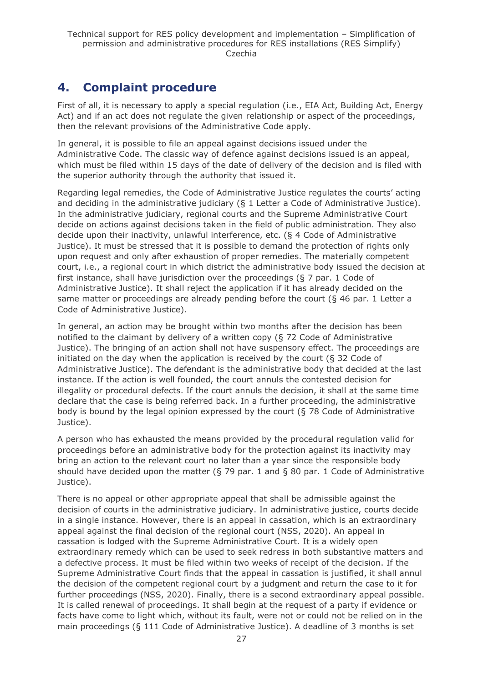# <span id="page-26-0"></span>**4. Complaint procedure**

First of all, it is necessary to apply a special regulation (i.e., EIA Act, Building Act, Energy Act) and if an act does not regulate the given relationship or aspect of the proceedings, then the relevant provisions of the Administrative Code apply.

In general, it is possible to file an appeal against decisions issued under the Administrative Code. The classic way of defence against decisions issued is an appeal, which must be filed within 15 days of the date of delivery of the decision and is filed with the superior authority through the authority that issued it.

Regarding legal remedies, the Code of Administrative Justice regulates the courts' acting and deciding in the administrative judiciary (§ 1 Letter a Code of Administrative Justice). In the administrative judiciary, regional courts and the Supreme Administrative Court decide on actions against decisions taken in the field of public administration. They also decide upon their inactivity, unlawful interference, etc. (§ 4 Code of Administrative Justice). It must be stressed that it is possible to demand the protection of rights only upon request and only after exhaustion of proper remedies. The materially competent court, i.e., a regional court in which district the administrative body issued the decision at first instance, shall have jurisdiction over the proceedings ( $\S$  7 par. 1 Code of Administrative Justice). It shall reject the application if it has already decided on the same matter or proceedings are already pending before the court ( $\S$  46 par. 1 Letter a Code of Administrative Justice).

In general, an action may be brought within two months after the decision has been notified to the claimant by delivery of a written copy (§ 72 Code of Administrative Justice). The bringing of an action shall not have suspensory effect. The proceedings are initiated on the day when the application is received by the court (§ 32 Code of Administrative Justice). The defendant is the administrative body that decided at the last instance. If the action is well founded, the court annuls the contested decision for illegality or procedural defects. If the court annuls the decision, it shall at the same time declare that the case is being referred back. In a further proceeding, the administrative body is bound by the legal opinion expressed by the court (§ 78 Code of Administrative Justice).

A person who has exhausted the means provided by the procedural regulation valid for proceedings before an administrative body for the protection against its inactivity may bring an action to the relevant court no later than a year since the responsible body should have decided upon the matter (§ 79 par. 1 and § 80 par. 1 Code of Administrative Justice).

There is no appeal or other appropriate appeal that shall be admissible against the decision of courts in the administrative judiciary. In administrative justice, courts decide in a single instance. However, there is an appeal in cassation, which is an extraordinary appeal against the final decision of the regional court (NSS, 2020). An appeal in cassation is lodged with the Supreme Administrative Court. It is a widely open extraordinary remedy which can be used to seek redress in both substantive matters and a defective process. It must be filed within two weeks of receipt of the decision. If the Supreme Administrative Court finds that the appeal in cassation is justified, it shall annul the decision of the competent regional court by a judgment and return the case to it for further proceedings (NSS, 2020). Finally, there is a second extraordinary appeal possible. It is called renewal of proceedings. It shall begin at the request of a party if evidence or facts have come to light which, without its fault, were not or could not be relied on in the main proceedings (§ 111 Code of Administrative Justice). A deadline of 3 months is set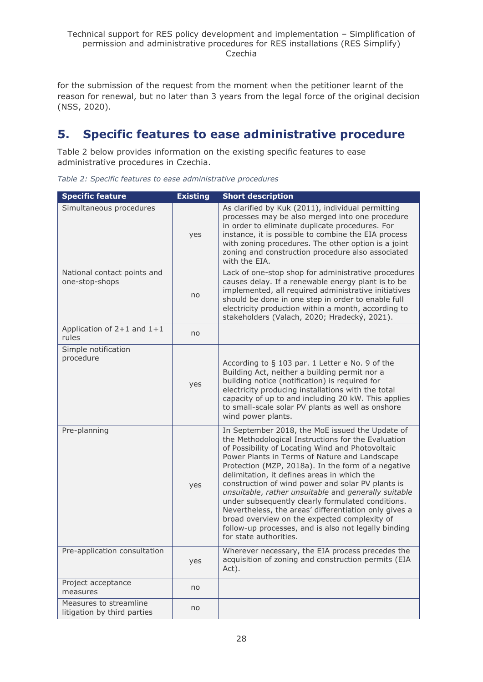for the submission of the request from the moment when the petitioner learnt of the reason for renewal, but no later than 3 years from the legal force of the original decision (NSS, 2020).

# <span id="page-27-0"></span>**5. Specific features to ease administrative procedure**

Table 2 below provides information on the existing specific features to ease administrative procedures in Czechia.

| <b>Specific feature</b>                               | <b>Existing</b> | <b>Short description</b>                                                                                                                                                                                                                                                                                                                                                                                                                                                                                                                                                                                                                                                     |
|-------------------------------------------------------|-----------------|------------------------------------------------------------------------------------------------------------------------------------------------------------------------------------------------------------------------------------------------------------------------------------------------------------------------------------------------------------------------------------------------------------------------------------------------------------------------------------------------------------------------------------------------------------------------------------------------------------------------------------------------------------------------------|
| Simultaneous procedures                               | yes             | As clarified by Kuk (2011), individual permitting<br>processes may be also merged into one procedure<br>in order to eliminate duplicate procedures. For<br>instance, it is possible to combine the EIA process<br>with zoning procedures. The other option is a joint<br>zoning and construction procedure also associated<br>with the EIA.                                                                                                                                                                                                                                                                                                                                  |
| National contact points and<br>one-stop-shops         | no              | Lack of one-stop shop for administrative procedures<br>causes delay. If a renewable energy plant is to be<br>implemented, all required administrative initiatives<br>should be done in one step in order to enable full<br>electricity production within a month, according to<br>stakeholders (Valach, 2020; Hradecký, 2021).                                                                                                                                                                                                                                                                                                                                               |
| Application of $2+1$ and $1+1$<br>rules               | no              |                                                                                                                                                                                                                                                                                                                                                                                                                                                                                                                                                                                                                                                                              |
| Simple notification<br>procedure                      | yes             | According to $\S$ 103 par. 1 Letter e No. 9 of the<br>Building Act, neither a building permit nor a<br>building notice (notification) is required for<br>electricity producing installations with the total<br>capacity of up to and including 20 kW. This applies<br>to small-scale solar PV plants as well as onshore<br>wind power plants.                                                                                                                                                                                                                                                                                                                                |
| Pre-planning                                          | yes             | In September 2018, the MoE issued the Update of<br>the Methodological Instructions for the Evaluation<br>of Possibility of Locating Wind and Photovoltaic<br>Power Plants in Terms of Nature and Landscape<br>Protection (MZP, 2018a). In the form of a negative<br>delimitation, it defines areas in which the<br>construction of wind power and solar PV plants is<br>unsuitable, rather unsuitable and generally suitable<br>under subsequently clearly formulated conditions.<br>Nevertheless, the areas' differentiation only gives a<br>broad overview on the expected complexity of<br>follow-up processes, and is also not legally binding<br>for state authorities. |
| Pre-application consultation                          | yes             | Wherever necessary, the EIA process precedes the<br>acquisition of zoning and construction permits (EIA<br>Act).                                                                                                                                                                                                                                                                                                                                                                                                                                                                                                                                                             |
| Project acceptance<br>measures                        | no              |                                                                                                                                                                                                                                                                                                                                                                                                                                                                                                                                                                                                                                                                              |
| Measures to streamline<br>litigation by third parties | no              |                                                                                                                                                                                                                                                                                                                                                                                                                                                                                                                                                                                                                                                                              |

*Table 2: Specific features to ease administrative procedures*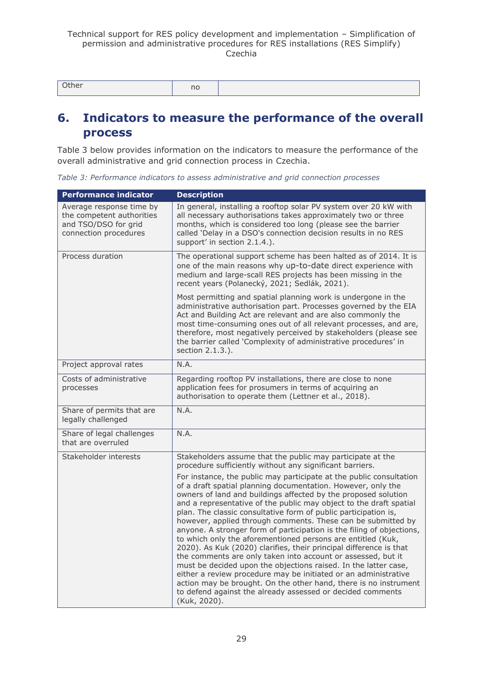| Other | no |  |
|-------|----|--|
|-------|----|--|

### <span id="page-28-0"></span>**6. Indicators to measure the performance of the overall process**

Table 3 below provides information on the indicators to measure the performance of the overall administrative and grid connection process in Czechia.

*Table 3: Performance indicators to assess administrative and grid connection processes*

| <b>Performance indicator</b>                                                                           | <b>Description</b>                                                                                                                                                                                                                                                                                                                                                                                                                                                                                                                                                                                                                                                                                                                                                                                                                                                                                                                                                                   |
|--------------------------------------------------------------------------------------------------------|--------------------------------------------------------------------------------------------------------------------------------------------------------------------------------------------------------------------------------------------------------------------------------------------------------------------------------------------------------------------------------------------------------------------------------------------------------------------------------------------------------------------------------------------------------------------------------------------------------------------------------------------------------------------------------------------------------------------------------------------------------------------------------------------------------------------------------------------------------------------------------------------------------------------------------------------------------------------------------------|
| Average response time by<br>the competent authorities<br>and TSO/DSO for grid<br>connection procedures | In general, installing a rooftop solar PV system over 20 kW with<br>all necessary authorisations takes approximately two or three<br>months, which is considered too long (please see the barrier<br>called 'Delay in a DSO's connection decision results in no RES<br>support' in section 2.1.4.).                                                                                                                                                                                                                                                                                                                                                                                                                                                                                                                                                                                                                                                                                  |
| Process duration                                                                                       | The operational support scheme has been halted as of 2014. It is<br>one of the main reasons why up-to-date direct experience with<br>medium and large-scall RES projects has been missing in the<br>recent years (Polanecký, 2021; Sedlák, 2021).                                                                                                                                                                                                                                                                                                                                                                                                                                                                                                                                                                                                                                                                                                                                    |
|                                                                                                        | Most permitting and spatial planning work is undergone in the<br>administrative authorisation part. Processes governed by the EIA<br>Act and Building Act are relevant and are also commonly the<br>most time-consuming ones out of all relevant processes, and are,<br>therefore, most negatively perceived by stakeholders (please see<br>the barrier called 'Complexity of administrative procedures' in<br>section 2.1.3.).                                                                                                                                                                                                                                                                                                                                                                                                                                                                                                                                                      |
| Project approval rates                                                                                 | N.A.                                                                                                                                                                                                                                                                                                                                                                                                                                                                                                                                                                                                                                                                                                                                                                                                                                                                                                                                                                                 |
| Costs of administrative<br>processes                                                                   | Regarding rooftop PV installations, there are close to none<br>application fees for prosumers in terms of acquiring an<br>authorisation to operate them (Lettner et al., 2018).                                                                                                                                                                                                                                                                                                                                                                                                                                                                                                                                                                                                                                                                                                                                                                                                      |
| Share of permits that are<br>legally challenged                                                        | N.A.                                                                                                                                                                                                                                                                                                                                                                                                                                                                                                                                                                                                                                                                                                                                                                                                                                                                                                                                                                                 |
| Share of legal challenges<br>that are overruled                                                        | N.A.                                                                                                                                                                                                                                                                                                                                                                                                                                                                                                                                                                                                                                                                                                                                                                                                                                                                                                                                                                                 |
| Stakeholder interests                                                                                  | Stakeholders assume that the public may participate at the<br>procedure sufficiently without any significant barriers.                                                                                                                                                                                                                                                                                                                                                                                                                                                                                                                                                                                                                                                                                                                                                                                                                                                               |
|                                                                                                        | For instance, the public may participate at the public consultation<br>of a draft spatial planning documentation. However, only the<br>owners of land and buildings affected by the proposed solution<br>and a representative of the public may object to the draft spatial<br>plan. The classic consultative form of public participation is,<br>however, applied through comments. These can be submitted by<br>anyone. A stronger form of participation is the filing of objections,<br>to which only the aforementioned persons are entitled (Kuk,<br>2020). As Kuk (2020) clarifies, their principal difference is that<br>the comments are only taken into account or assessed, but it<br>must be decided upon the objections raised. In the latter case,<br>either a review procedure may be initiated or an administrative<br>action may be brought. On the other hand, there is no instrument<br>to defend against the already assessed or decided comments<br>(Kuk, 2020). |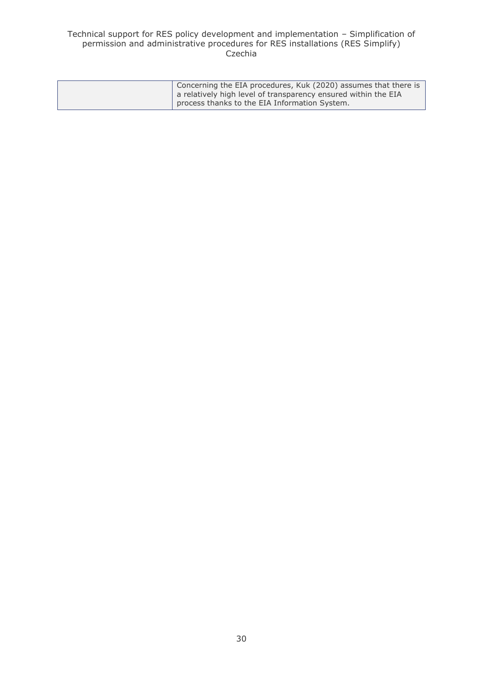#### Technical support for RES policy development and implementation – Simplification of permission and administrative procedures for RES installations (RES Simplify) Czechia

| Concerning the EIA procedures, Kuk (2020) assumes that there is |
|-----------------------------------------------------------------|
| a relatively high level of transparency ensured within the EIA  |
| process thanks to the EIA Information System.                   |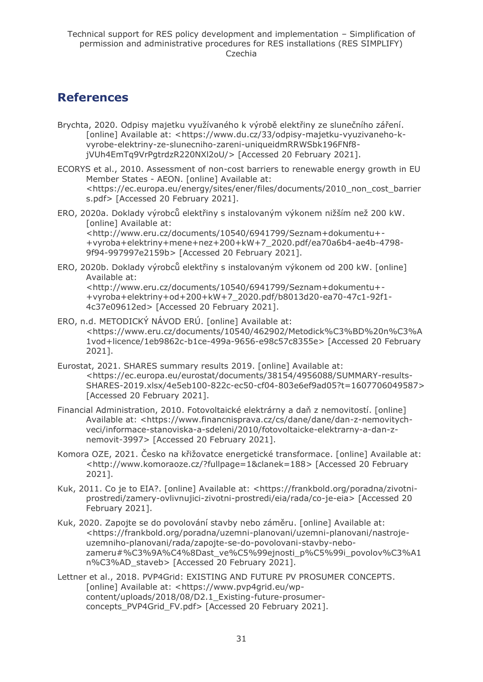### <span id="page-30-0"></span>**References**

- Brychta, 2020. Odpisy majetku využívaného k výrobě elektřiny ze slunečního záření. [online] Available at: <https://www.du.cz/33/odpisy-majetku-vyuzivaneho-kvyrobe-elektriny-ze-slunecniho-zareni-uniqueidmRRWSbk196FNf8 jVUh4EmTq9VrPgtrdzR220NXl2oU/> [Accessed 20 February 2021].
- ECORYS et al., 2010. Assessment of non-cost barriers to renewable energy growth in EU Member States - AEON. [online] Available at: <https://ec.europa.eu/energy/sites/ener/files/documents/2010\_non\_cost\_barrier s.pdf> [Accessed 20 February 2021].
- ERO, 2020a. Doklady výrobců elektřiny s instalovaným výkonem nižším než 200 kW. [online] Available at: <http://www.eru.cz/documents/10540/6941799/Seznam+dokumentu+- +vyroba+elektriny+mene+nez+200+kW+7\_2020.pdf/ea70a6b4-ae4b-4798- 9f94-997997e2159b> [Accessed 20 February 2021].
- ERO, 2020b. Doklady výrobců elektřiny s instalovaným výkonem od 200 kW. [online] Available at: <http://www.eru.cz/documents/10540/6941799/Seznam+dokumentu+- +vyroba+elektriny+od+200+kW+7\_2020.pdf/b8013d20-ea70-47c1-92f1- 4c37e09612ed> [Accessed 20 February 2021].
- ERO, n.d. METODICKÝ NÁVOD ERÚ. [online] Available at: <https://www.eru.cz/documents/10540/462902/Metodick%C3%BD%20n%C3%A 1vod+licence/1eb9862c-b1ce-499a-9656-e98c57c8355e> [Accessed 20 February 2021].
- Eurostat, 2021. SHARES summary results 2019. [online] Available at: <https://ec.europa.eu/eurostat/documents/38154/4956088/SUMMARY-results-SHARES-2019.xlsx/4e5eb100-822c-ec50-cf04-803e6ef9ad05?t=1607706049587> [Accessed 20 February 2021].
- Financial Administration, 2010. Fotovoltaické elektrárny a daň z nemovitostí. [online] Available at: <https://www.financnisprava.cz/cs/dane/dane/dan-z-nemovitychveci/informace-stanoviska-a-sdeleni/2010/fotovoltaicke-elektrarny-a-dan-znemovit-3997> [Accessed 20 February 2021].
- Komora OZE, 2021. Česko na křižovatce energetické transformace. [online] Available at: <http://www.komoraoze.cz/?fullpage=1&clanek=188> [Accessed 20 February 2021].
- Kuk, 2011. Co je to EIA?. [online] Available at: <https://frankbold.org/poradna/zivotniprostredi/zamery-ovlivnujici-zivotni-prostredi/eia/rada/co-je-eia> [Accessed 20 February 2021].
- Kuk, 2020. Zapojte se do povolování stavby nebo záměru. [online] Available at: <https://frankbold.org/poradna/uzemni-planovani/uzemni-planovani/nastrojeuzemniho-planovani/rada/zapojte-se-do-povolovani-stavby-nebozameru#%C3%9A%C4%8Dast\_ve%C5%99ejnosti\_p%C5%99i\_povolov%C3%A1 n%C3%AD\_staveb> [Accessed 20 February 2021].
- Lettner et al., 2018. PVP4Grid: EXISTING AND FUTURE PV PROSUMER CONCEPTS. [online] Available at: <https://www.pvp4grid.eu/wpcontent/uploads/2018/08/D2.1\_Existing-future-prosumerconcepts\_PVP4Grid\_FV.pdf> [Accessed 20 February 2021].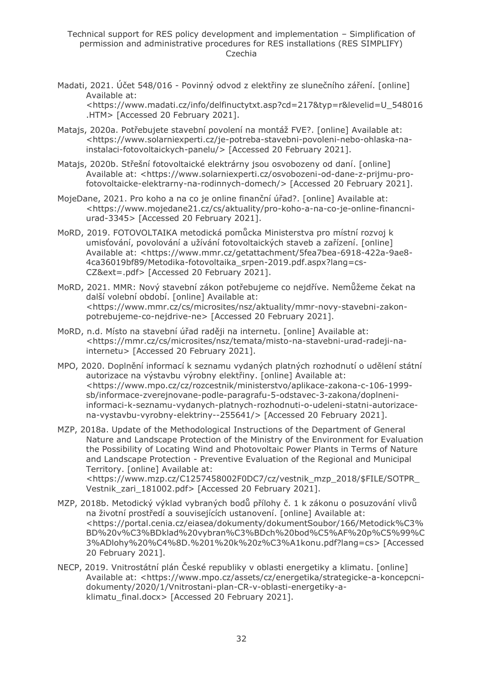Technical support for RES policy development and implementation – Simplification of permission and administrative procedures for RES installations (RES SIMPLIFY) Czechia

Madati, 2021. Účet 548/016 - Povinný odvod z elektřiny ze slunečního záření. [online] Available at: <https://www.madati.cz/info/delfinuctytxt.asp?cd=217&typ=r&levelid=U\_548016

.HTM> [Accessed 20 February 2021].

- Matajs, 2020a. Potřebujete stavební povolení na montáž FVE?. [online] Available at: <https://www.solarniexperti.cz/je-potreba-stavebni-povoleni-nebo-ohlaska-nainstalaci-fotovoltaickych-panelu/> [Accessed 20 February 2021].
- Matajs, 2020b. Střešní fotovoltaické elektrárny jsou osvobozeny od daní. [online] Available at: <https://www.solarniexperti.cz/osvobozeni-od-dane-z-prijmu-profotovoltaicke-elektrarny-na-rodinnych-domech/> [Accessed 20 February 2021].
- MojeDane, 2021. Pro koho a na co je online finanční úřad?. [online] Available at: <https://www.mojedane21.cz/cs/aktuality/pro-koho-a-na-co-je-online-financniurad-3345> [Accessed 20 February 2021].
- MoRD, 2019. FOTOVOLTAIKA metodická pomůcka Ministerstva pro místní rozvoj k umisťování, povolování a užívání fotovoltaických staveb a zařízení. [online] Available at: <https://www.mmr.cz/getattachment/5fea7bea-6918-422a-9ae8- 4ca36019bf89/Metodika-fotovoltaika\_srpen-2019.pdf.aspx?lang=cs-CZ&ext=.pdf> [Accessed 20 February 2021].
- MoRD, 2021. MMR: Nový stavební zákon potřebujeme co nejdříve. Nemůžeme čekat na další volební období. [online] Available at: <https://www.mmr.cz/cs/microsites/nsz/aktuality/mmr-novy-stavebni-zakonpotrebujeme-co-nejdrive-ne> [Accessed 20 February 2021].
- MoRD, n.d. Místo na stavební úřad raději na internetu. [online] Available at: <https://mmr.cz/cs/microsites/nsz/temata/misto-na-stavebni-urad-radeji-nainternetu> [Accessed 20 February 2021].
- MPO, 2020. Doplnění informací k seznamu vydaných platných rozhodnutí o udělení státní autorizace na výstavbu výrobny elektřiny. [online] Available at: <https://www.mpo.cz/cz/rozcestnik/ministerstvo/aplikace-zakona-c-106-1999 sb/informace-zverejnovane-podle-paragrafu-5-odstavec-3-zakona/doplneniinformaci-k-seznamu-vydanych-platnych-rozhodnuti-o-udeleni-statni-autorizacena-vystavbu-vyrobny-elektriny--255641/> [Accessed 20 February 2021].

MZP, 2018a. Update of the Methodological Instructions of the Department of General Nature and Landscape Protection of the Ministry of the Environment for Evaluation the Possibility of Locating Wind and Photovoltaic Power Plants in Terms of Nature and Landscape Protection - Preventive Evaluation of the Regional and Municipal Territory. [online] Available at:

<https://www.mzp.cz/C1257458002F0DC7/cz/vestnik\_mzp\_2018/\$FILE/SOTPR\_ Vestnik zari 181002.pdf> [Accessed 20 February 2021].

- MZP, 2018b. Metodický výklad vybraných bodů přílohy č. 1 k zákonu o posuzování vlivů na životní prostředí a souvisejících ustanovení. [online] Available at: <https://portal.cenia.cz/eiasea/dokumenty/dokumentSoubor/166/Metodick%C3% BD%20v%C3%BDklad%20vybran%C3%BDch%20bod%C5%AF%20p%C5%99%C 3%ADlohy%20%C4%8D.%201%20k%20z%C3%A1konu.pdf?lang=cs> [Accessed 20 February 2021].
- NECP, 2019. Vnitrostátní plán České republiky v oblasti energetiky a klimatu. [online] Available at: <https://www.mpo.cz/assets/cz/energetika/strategicke-a-koncepcnidokumenty/2020/1/Vnitrostani-plan-CR-v-oblasti-energetiky-aklimatu\_final.docx> [Accessed 20 February 2021].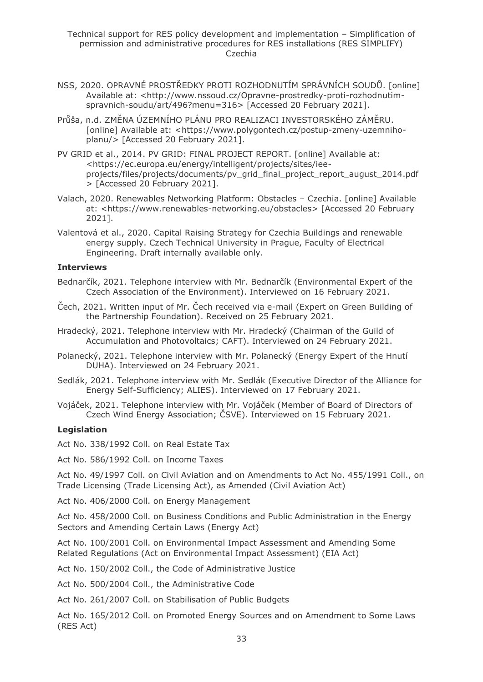- NSS, 2020. OPRAVNÉ PROSTŘEDKY PROTI ROZHODNUTÍM SPRÁVNÍCH SOUDŮ. [online] Available at: <http://www.nssoud.cz/Opravne-prostredky-proti-rozhodnutimspravnich-soudu/art/496?menu=316> [Accessed 20 February 2021].
- Průša, n.d. ZMĚNA ÚZEMNÍHO PLÁNU PRO REALIZACI INVESTORSKÉHO ZÁMĚRU. [online] Available at: <https://www.polygontech.cz/postup-zmeny-uzemnihoplanu/> [Accessed 20 February 2021].
- PV GRID et al., 2014. PV GRID: FINAL PROJECT REPORT. [online] Available at: <https://ec.europa.eu/energy/intelligent/projects/sites/ieeprojects/files/projects/documents/pv\_grid\_final\_project\_report\_august\_2014.pdf > [Accessed 20 February 2021].
- Valach, 2020. Renewables Networking Platform: Obstacles Czechia. [online] Available at: <https://www.renewables-networking.eu/obstacles> [Accessed 20 February 2021].
- Valentová et al., 2020. Capital Raising Strategy for Czechia Buildings and renewable energy supply. Czech Technical University in Prague, Faculty of Electrical Engineering. Draft internally available only.

#### **Interviews**

- Bednarčík, 2021. Telephone interview with Mr. Bednarčík (Environmental Expert of the Czech Association of the Environment). Interviewed on 16 February 2021.
- Čech, 2021. Written input of Mr. Čech received via e-mail (Expert on Green Building of the Partnership Foundation). Received on 25 February 2021.
- Hradecký, 2021. Telephone interview with Mr. Hradecký (Chairman of the Guild of Accumulation and Photovoltaics; CAFT). Interviewed on 24 February 2021.
- Polanecký, 2021. Telephone interview with Mr. Polanecký (Energy Expert of the Hnutí DUHA). Interviewed on 24 February 2021.
- Sedlák, 2021. Telephone interview with Mr. Sedlák (Executive Director of the Alliance for Energy Self-Sufficiency; ALIES). Interviewed on 17 February 2021.
- Vojáček, 2021. Telephone interview with Mr. Vojáček (Member of Board of Directors of Czech Wind Energy Association; ČSVE). Interviewed on 15 February 2021.

#### **Legislation**

Act No. 338/1992 Coll. on Real Estate Tax

Act No. 586/1992 Coll. on Income Taxes

Act No. 49/1997 Coll. on Civil Aviation and on Amendments to Act No. 455/1991 Coll., on Trade Licensing (Trade Licensing Act), as Amended (Civil Aviation Act)

Act No. 406/2000 Coll. on Energy Management

Act No. 458/2000 Coll. on Business Conditions and Public Administration in the Energy Sectors and Amending Certain Laws (Energy Act)

Act No. 100/2001 Coll. on Environmental Impact Assessment and Amending Some Related Regulations (Act on Environmental Impact Assessment) (EIA Act)

Act No. 150/2002 Coll., the Code of Administrative Justice

Act No. 500/2004 Coll., the Administrative Code

Act No. 261/2007 Coll. on Stabilisation of Public Budgets

Act No. 165/2012 Coll. on Promoted Energy Sources and on Amendment to Some Laws (RES Act)